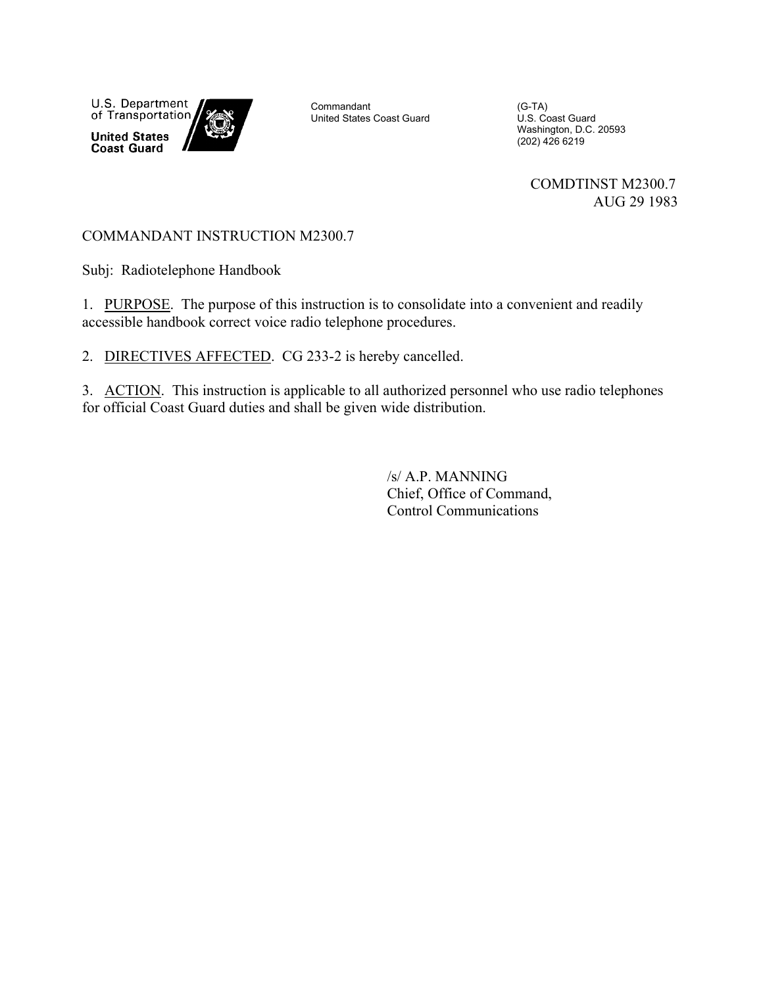U.S. Department of Transportation **United States Coast Guard** 

Commandant United States Coast Guard

(G-TA) U.S. Coast Guard Washington, D.C. 20593 (202) 426 6219

> COMDTINST M2300.7 AUG 29 1983

# COMMANDANT INSTRUCTION M2300.7

Subj: Radiotelephone Handbook

1. PURPOSE. The purpose of this instruction is to consolidate into a convenient and readily accessible handbook correct voice radio telephone procedures.

2. DIRECTIVES AFFECTED. CG 233-2 is hereby cancelled.

3. ACTION. This instruction is applicable to all authorized personnel who use radio telephones for official Coast Guard duties and shall be given wide distribution.

> /s/ A.P. MANNING Chief, Office of Command, Control Communications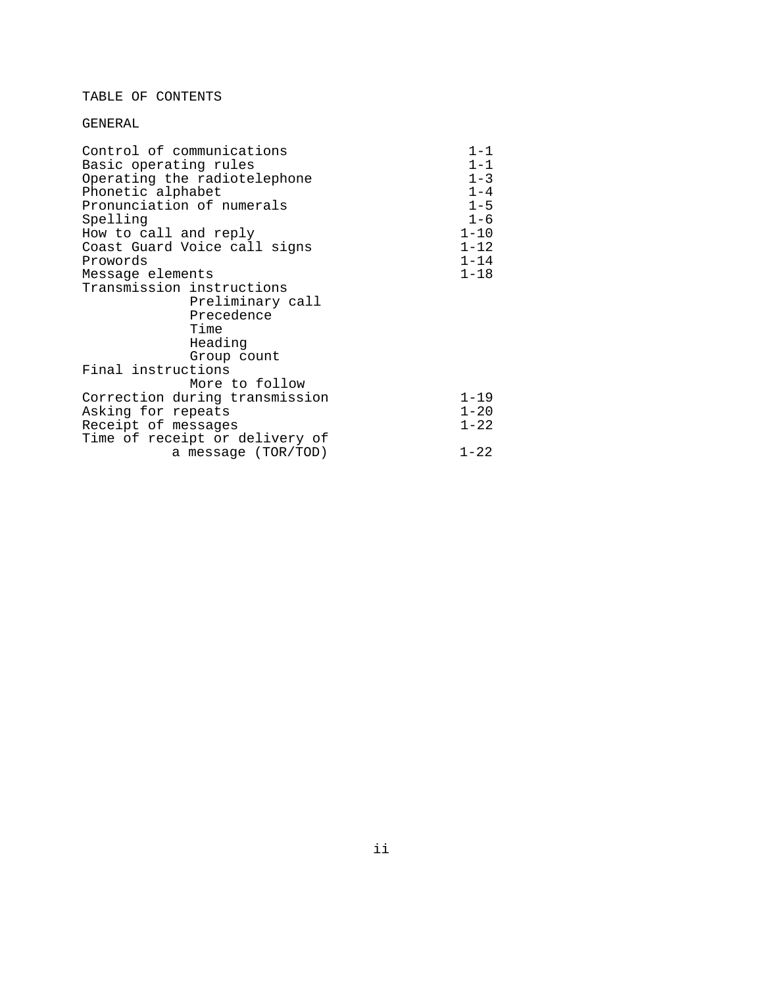#### TABLE OF CONTENTS

#### GENERAL

| Control of communications      | $1 - 1$  |
|--------------------------------|----------|
| Basic operating rules          | $1 - 1$  |
| Operating the radiotelephone   | $1 - 3$  |
| Phonetic alphabet              | $1 - 4$  |
| Pronunciation of numerals      | $1 - 5$  |
| Spelling                       | $1 - 6$  |
| How to call and reply          | $1 - 10$ |
| Coast Guard Voice call signs   | $1 - 12$ |
| Prowords                       | $1 - 14$ |
| Message elements               | $1 - 18$ |
| Transmission instructions      |          |
| Preliminary call               |          |
| Precedence                     |          |
| Time                           |          |
| Heading                        |          |
| Group count                    |          |
| Final instructions             |          |
| More to follow                 |          |
| Correction during transmission | $1 - 19$ |
| Asking for repeats             | $1 - 20$ |
| Receipt of messages            | $1 - 22$ |
| Time of receipt or delivery of |          |
| a message (TOR/TOD)            | $1 - 22$ |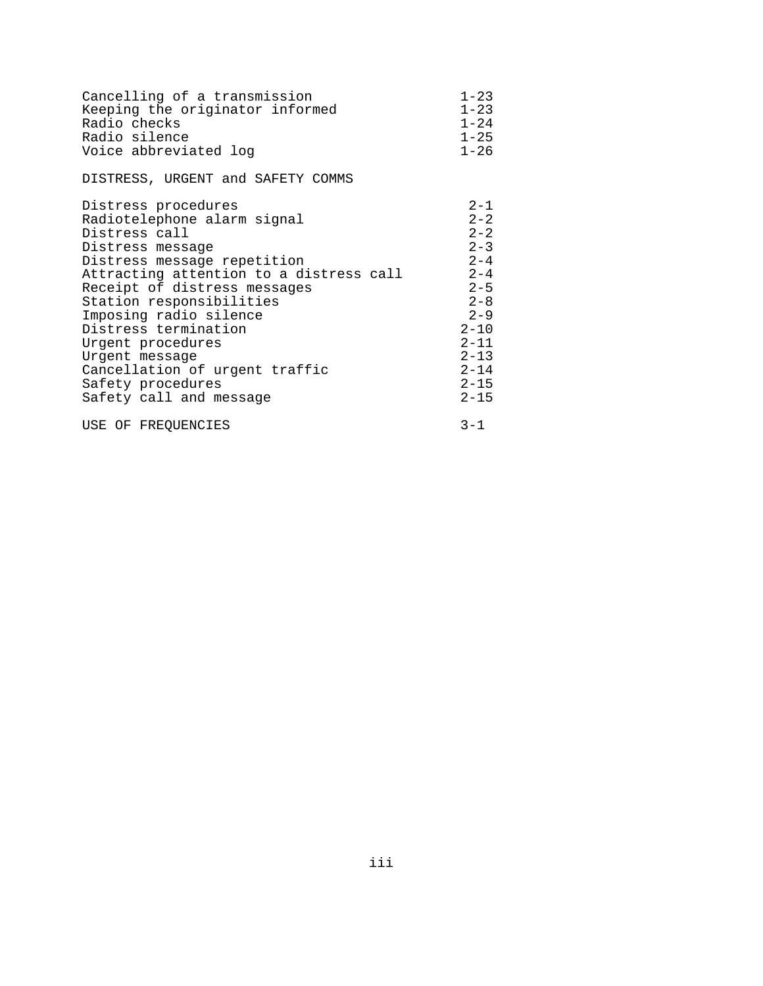| Cancelling of a transmission            | $1 - 23$ |
|-----------------------------------------|----------|
| Keeping the originator informed         | $1 - 23$ |
| Radio checks                            | $1 - 24$ |
| Radio silence                           | $1 - 25$ |
| Voice abbreviated log                   | $1 - 26$ |
| DISTRESS, URGENT and SAFETY COMMS       |          |
| Distress procedures                     | $2 - 1$  |
| Radiotelephone alarm signal             | $2 - 2$  |
| Distress call                           | $2 - 2$  |
| Distress message                        | $2 - 3$  |
| Distress message repetition             | $2 - 4$  |
| Attracting attention to a distress call | $2 - 4$  |
| Receipt of distress messages            | $2 - 5$  |
| Station responsibilities                | $2 - 8$  |
| Imposing radio silence                  | $2 - 9$  |
| Distress termination                    | $2 - 10$ |
| Urgent procedures                       | $2 - 11$ |
| Urgent message                          | $2 - 13$ |
| Cancellation of urgent traffic          | $2 - 14$ |
| Safety procedures                       | $2 - 15$ |
| Safety call and message                 | $2 - 15$ |
| USE OF FREOUENCIES                      | $3 - 1$  |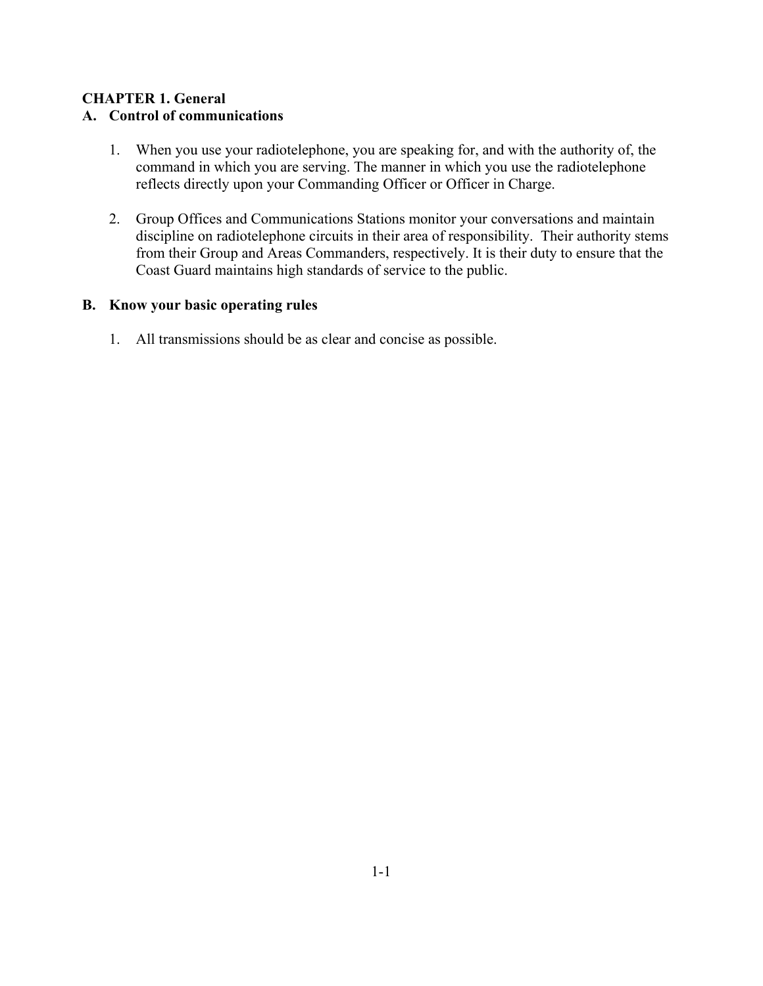#### **CHAPTER 1. General A. Control of communications**

- 1. When you use your radiotelephone, you are speaking for, and with the authority of, the command in which you are serving. The manner in which you use the radiotelephone reflects directly upon your Commanding Officer or Officer in Charge.
- 2. Group Offices and Communications Stations monitor your conversations and maintain discipline on radiotelephone circuits in their area of responsibility. Their authority stems from their Group and Areas Commanders, respectively. It is their duty to ensure that the Coast Guard maintains high standards of service to the public.

### **B. Know your basic operating rules**

1. All transmissions should be as clear and concise as possible.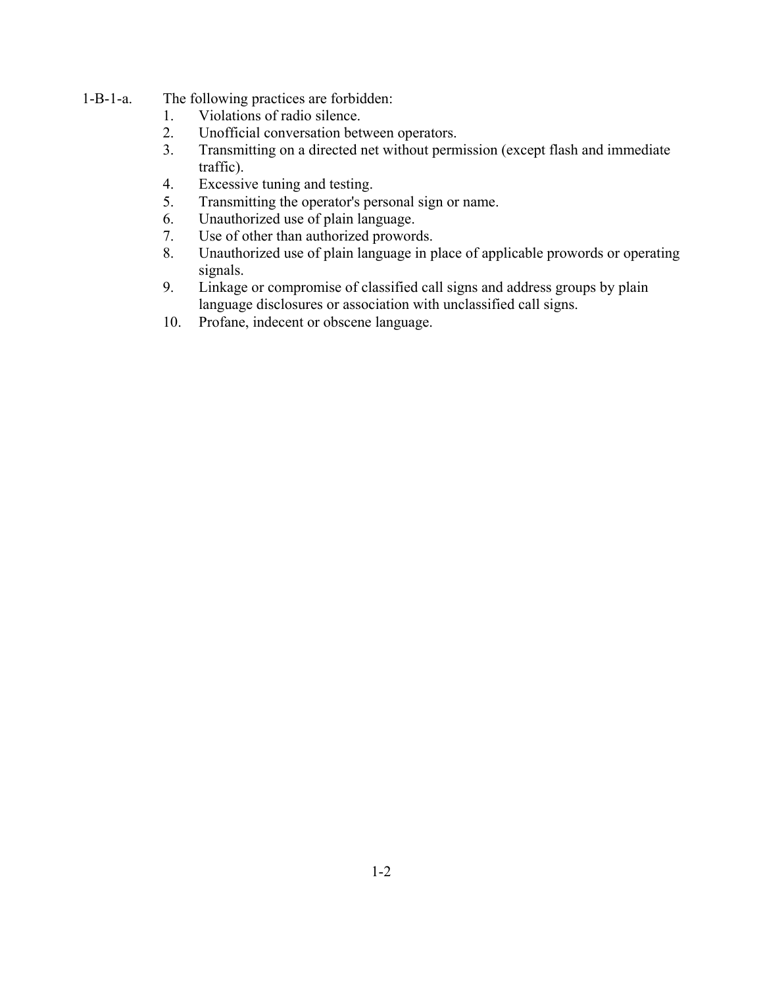- 1-B-1-a. The following practices are forbidden:
	- 1. Violations of radio silence.
	- 2. Unofficial conversation between operators.
	- 3. Transmitting on a directed net without permission (except flash and immediate traffic).
	- 4. Excessive tuning and testing.
	- 5. Transmitting the operator's personal sign or name.
	- 6. Unauthorized use of plain language.
	- 7. Use of other than authorized prowords.
	- 8. Unauthorized use of plain language in place of applicable prowords or operating signals.
	- 9. Linkage or compromise of classified call signs and address groups by plain language disclosures or association with unclassified call signs.
	- 10. Profane, indecent or obscene language.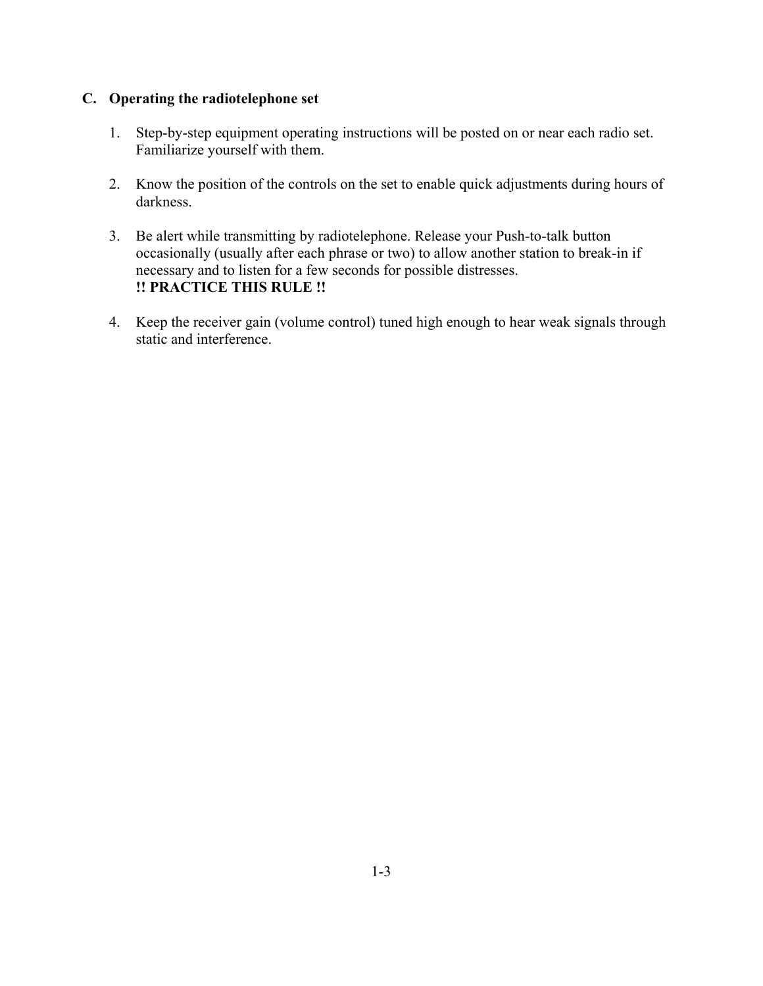### **C. Operating the radiotelephone set**

- 1. Step-by-step equipment operating instructions will be posted on or near each radio set. Familiarize yourself with them.
- 2. Know the position of the controls on the set to enable quick adjustments during hours of darkness.
- 3. Be alert while transmitting by radiotelephone. Release your Push-to-talk button occasionally (usually after each phrase or two) to allow another station to break-in if necessary and to listen for a few seconds for possible distresses. **!! PRACTICE THIS RULE !!**
- 4. Keep the receiver gain (volume control) tuned high enough to hear weak signals through static and interference.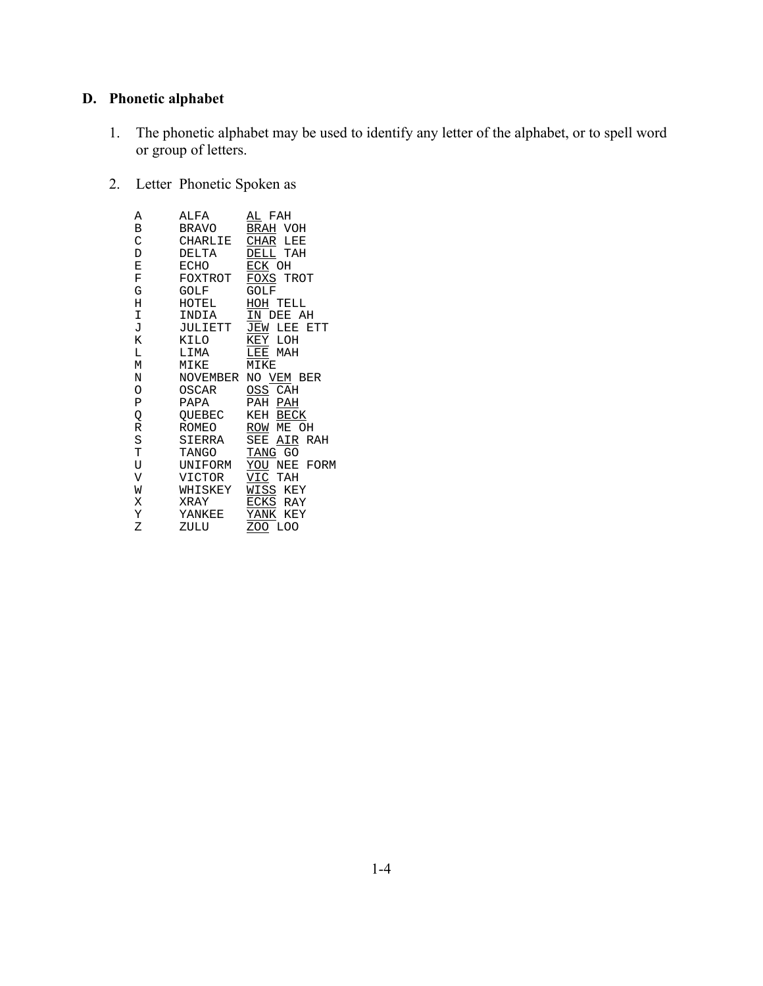# **D. Phonetic alphabet**

- 1. The phonetic alphabet may be used to identify any letter of the alphabet, or to spell word or group of letters.
- 2. Letter Phonetic Spoken as

| Α | ALFA    | AL FAH              |
|---|---------|---------------------|
| В | BRAVO   | BRAH VOH            |
| C | CHARLIE | CHAR LEE            |
| D | DELTA   | DELL TAH            |
| E | ECHO    | ECK OH              |
| F | FOXTROT | FOXS TROT           |
| G | GOLF    | GOLF                |
| Н | HOTEL   | HOH TELL            |
| I | INDIA   | IN DEE AH           |
| J | JULIETT | JEW LEE ETT         |
| K | KILO    | KEY<br>LOH          |
| L | LIMA    | LEE MAH             |
| M | MIKE    | MIKE                |
| N |         | NOVEMBER NO VEM BER |
| O | OSCAR   | OSS CAH             |
| Ρ | PAPA    | PAH<br>PAH          |
| Q | OUEBEC  | KEH BECK            |
| R | ROMEO   | ROW ME OH           |
| S | SIERRA  | SEE AIR RAH         |
| T | TANGO   | TANG GO             |
| U | UNIFORM | YOU NEE FORM        |
| V | VICTOR  | VIC TAH             |
| W | WHISKEY | WISS KEY            |
| X | XRAY    | ECKS RAY            |
| Y | YANKEE  | YANK KEY            |
| Ζ | ZULU    | ZOO LOO             |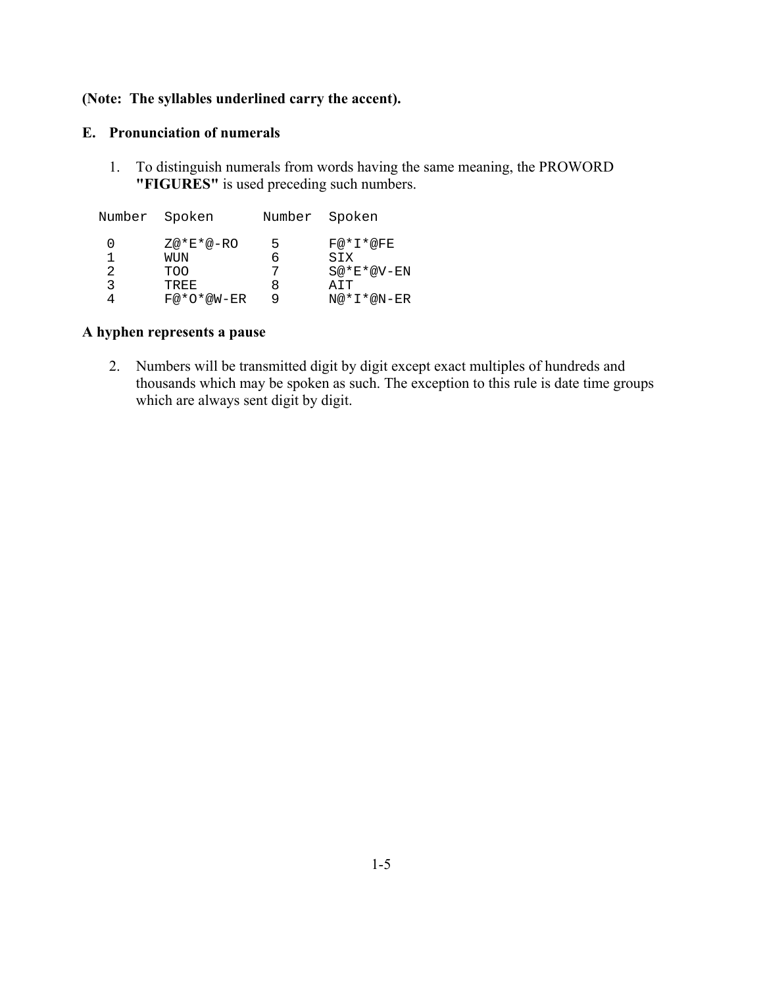### **(Note: The syllables underlined carry the accent).**

#### **E. Pronunciation of numerals**

1. To distinguish numerals from words having the same meaning, the PROWORD **"FIGURES"** is used preceding such numbers.

| Number Spoken |              |   | Number Spoken |
|---------------|--------------|---|---------------|
| O             | $Z@*E*@-RO$  | 5 | $F@*L*@FE$    |
|               | WUN          | h | SIX           |
|               |              | 7 |               |
| 2             | TOO          |   | S@*E*@V-EN    |
| ર             | TREE         | Χ | ATT           |
|               | $F@*O*@W-ER$ | q | $N@*I*@N-ER$  |

### **A hyphen represents a pause**

2. Numbers will be transmitted digit by digit except exact multiples of hundreds and thousands which may be spoken as such. The exception to this rule is date time groups which are always sent digit by digit.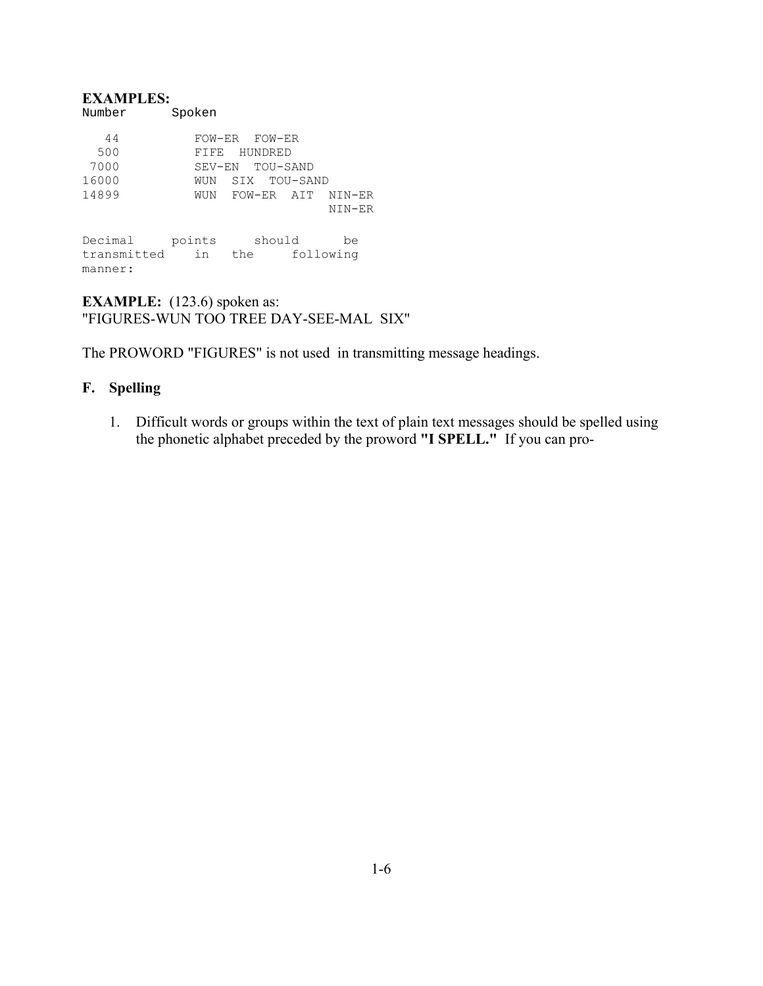#### **EXAMPLES:**  Number Spoken

| 44          |        | FOW-ER FOW-ER         |           |  |
|-------------|--------|-----------------------|-----------|--|
| 500         | 日下日日   | HUNDRED               |           |  |
| 7000        |        | SEV-EN TOU-SAND       |           |  |
| 16000       | WUN    | SIX TOU-SAND          |           |  |
| 14899       |        | WUN FOW-ER AIT NIN-ER |           |  |
|             |        |                       | NIN-ER    |  |
|             |        |                       |           |  |
| Decimal     | points | should                | be        |  |
| transmitted | in     | the                   | following |  |
| manner:     |        |                       |           |  |

**EXAMPLE:** (123.6) spoken as: "FIGURES-WUN TOO TREE DAY-SEE-MAL SIX"

The PROWORD "FIGURES" is not used in transmitting message headings.

### **F. Spelling**

1. Difficult words or groups within the text of plain text messages should be spelled using the phonetic alphabet preceded by the proword **"I SPELL."** If you can pro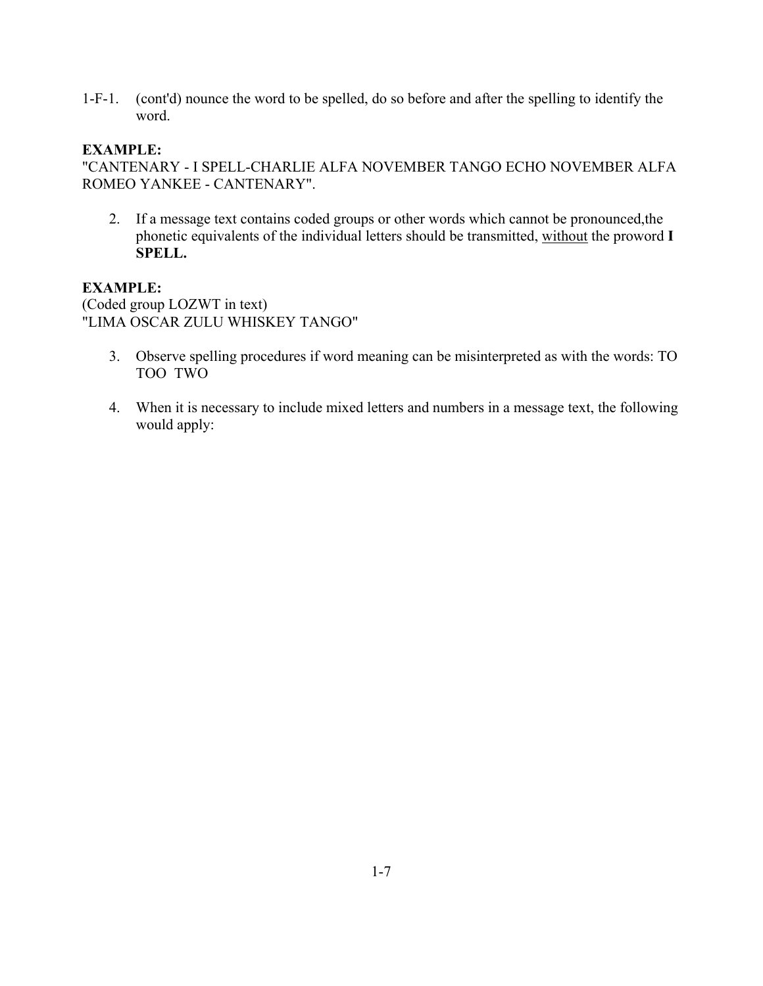1-F-1. (cont'd) nounce the word to be spelled, do so before and after the spelling to identify the word.

#### **EXAMPLE:**

"CANTENARY - I SPELL-CHARLIE ALFA NOVEMBER TANGO ECHO NOVEMBER ALFA ROMEO YANKEE - CANTENARY".

2. If a message text contains coded groups or other words which cannot be pronounced,the phonetic equivalents of the individual letters should be transmitted, without the proword **I SPELL.**

### **EXAMPLE:**

(Coded group LOZWT in text) "LIMA OSCAR ZULU WHISKEY TANGO"

- 3. Observe spelling procedures if word meaning can be misinterpreted as with the words: TO TOO TWO
- 4. When it is necessary to include mixed letters and numbers in a message text, the following would apply: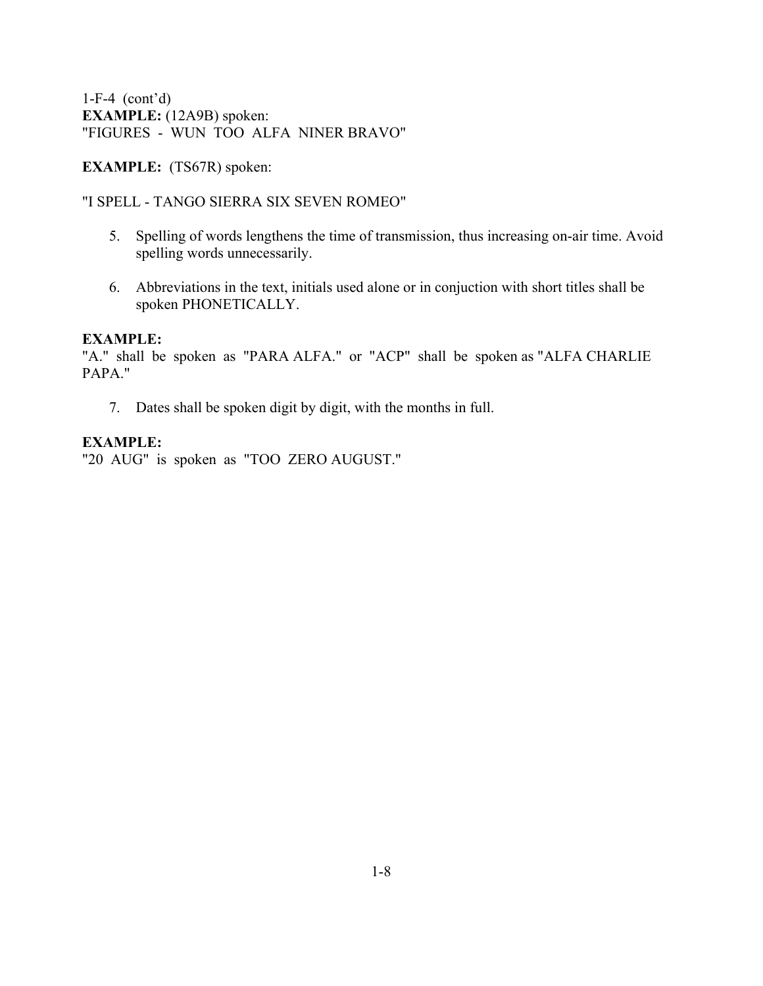1-F-4 (cont'd) **EXAMPLE:** (12A9B) spoken: "FIGURES - WUN TOO ALFA NINER BRAVO"

**EXAMPLE:** (TS67R) spoken:

#### "I SPELL - TANGO SIERRA SIX SEVEN ROMEO"

- 5. Spelling of words lengthens the time of transmission, thus increasing on-air time. Avoid spelling words unnecessarily.
- 6. Abbreviations in the text, initials used alone or in conjuction with short titles shall be spoken PHONETICALLY.

#### **EXAMPLE:**

"A." shall be spoken as "PARA ALFA." or "ACP" shall be spoken as "ALFA CHARLIE PAPA."

7. Dates shall be spoken digit by digit, with the months in full.

### **EXAMPLE:**

"20 AUG" is spoken as "TOO ZERO AUGUST."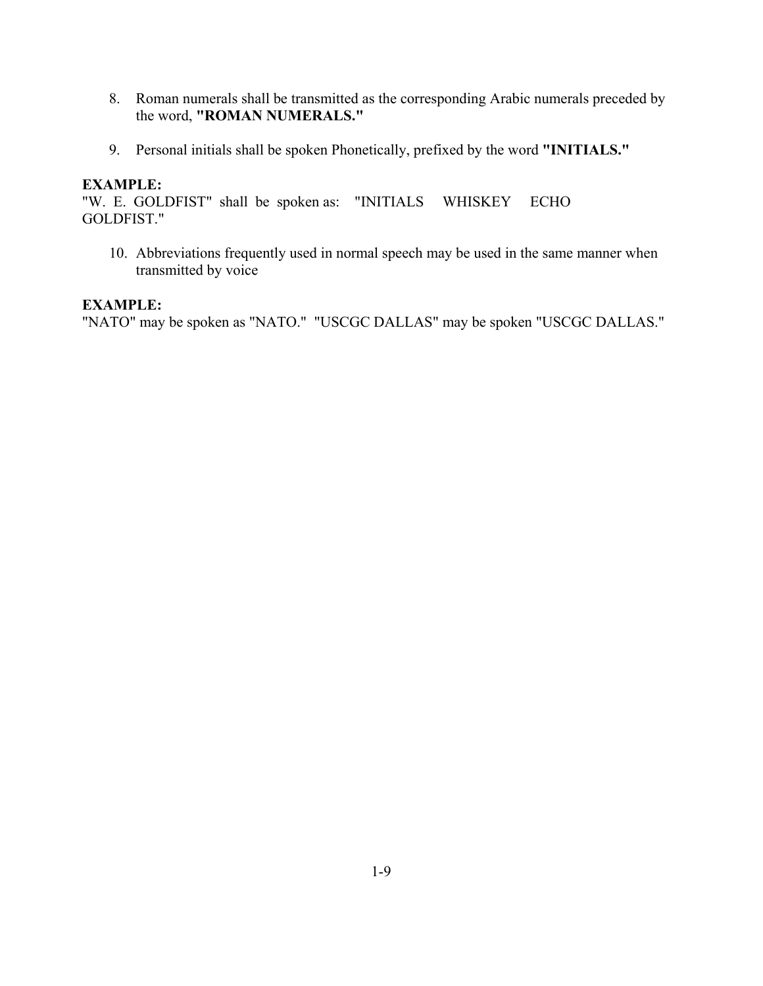- 8. Roman numerals shall be transmitted as the corresponding Arabic numerals preceded by the word, **"ROMAN NUMERALS."**
- 9. Personal initials shall be spoken Phonetically, prefixed by the word **"INITIALS."**

"W. E. GOLDFIST" shall be spoken as: "INITIALS WHISKEY ECHO GOLDFIST."

10. Abbreviations frequently used in normal speech may be used in the same manner when transmitted by voice

#### **EXAMPLE:**

"NATO" may be spoken as "NATO." "USCGC DALLAS" may be spoken "USCGC DALLAS."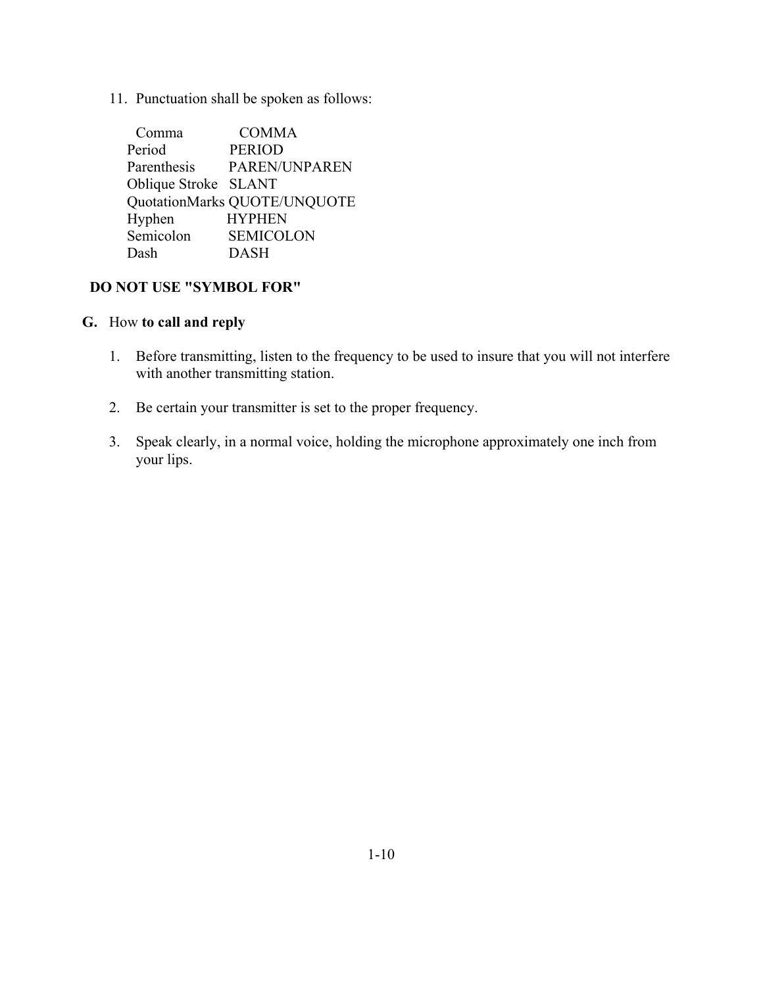11. Punctuation shall be spoken as follows:

| Comma                | <b>COMMA</b>                 |
|----------------------|------------------------------|
| Period               | <b>PERIOD</b>                |
| Parenthesis          | PAREN/UNPAREN                |
| Oblique Stroke SLANT |                              |
|                      | QuotationMarks QUOTE/UNQUOTE |
| Hyphen               | <b>HYPHEN</b>                |
| Semicolon            | <b>SEMICOLON</b>             |
| Dash                 | <b>DASH</b>                  |

### **DO NOT USE "SYMBOL FOR"**

### **G.** How **to call and reply**

- 1. Before transmitting, listen to the frequency to be used to insure that you will not interfere with another transmitting station.
- 2. Be certain your transmitter is set to the proper frequency.
- 3. Speak clearly, in a normal voice, holding the microphone approximately one inch from your lips.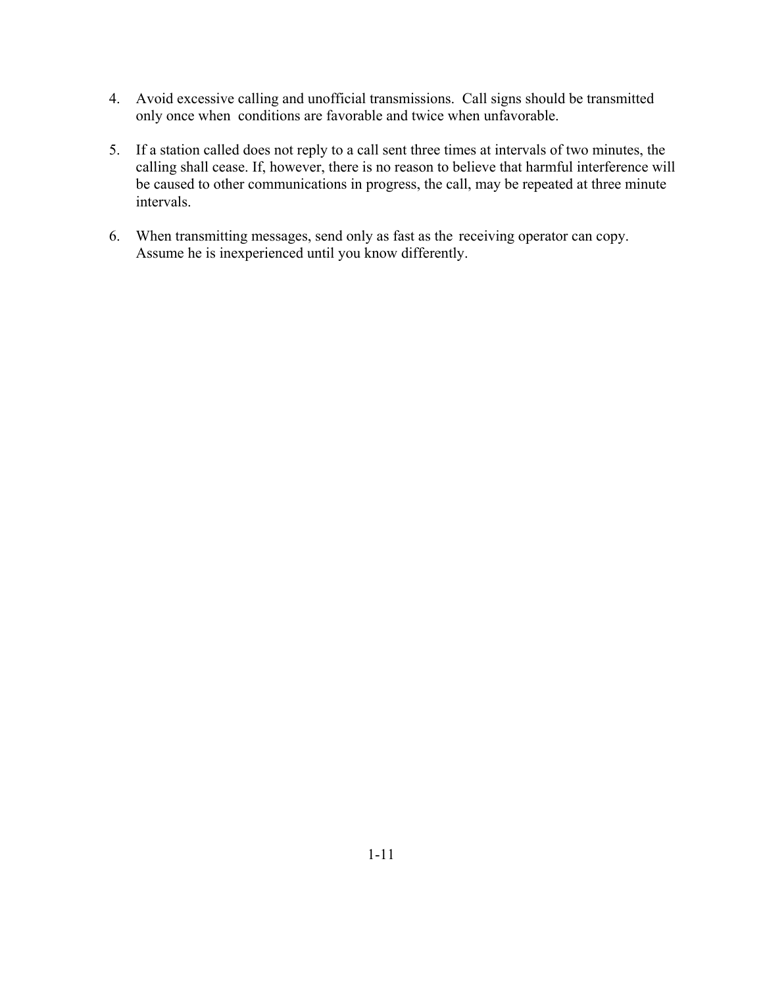- 4. Avoid excessive calling and unofficial transmissions. Call signs should be transmitted only once when conditions are favorable and twice when unfavorable.
- 5. If a station called does not reply to a call sent three times at intervals of two minutes, the calling shall cease. If, however, there is no reason to believe that harmful interference will be caused to other communications in progress, the call, may be repeated at three minute intervals.
- 6. When transmitting messages, send only as fast as the receiving operator can copy. Assume he is inexperienced until you know differently.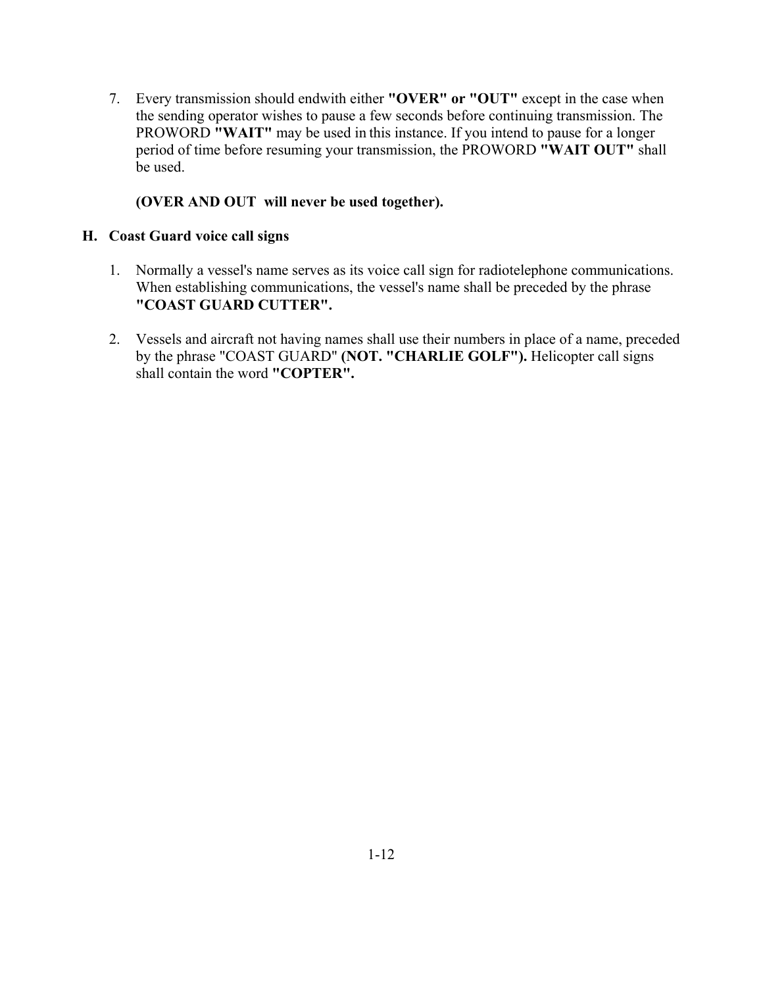7. Every transmission should endwith either **"OVER" or "OUT"** except in the case when the sending operator wishes to pause a few seconds before continuing transmission. The PROWORD **"WAIT"** may be used in this instance. If you intend to pause for a longer period of time before resuming your transmission, the PROWORD **"WAIT OUT"** shall be used.

### **(OVER AND OUT will never be used together).**

#### **H. Coast Guard voice call signs**

- 1. Normally a vessel's name serves as its voice call sign for radiotelephone communications. When establishing communications, the vessel's name shall be preceded by the phrase **"COAST GUARD CUTTER".**
- 2. Vessels and aircraft not having names shall use their numbers in place of a name, preceded by the phrase "COAST GUARD" **(NOT. "CHARLIE GOLF").** Helicopter call signs shall contain the word **"COPTER".**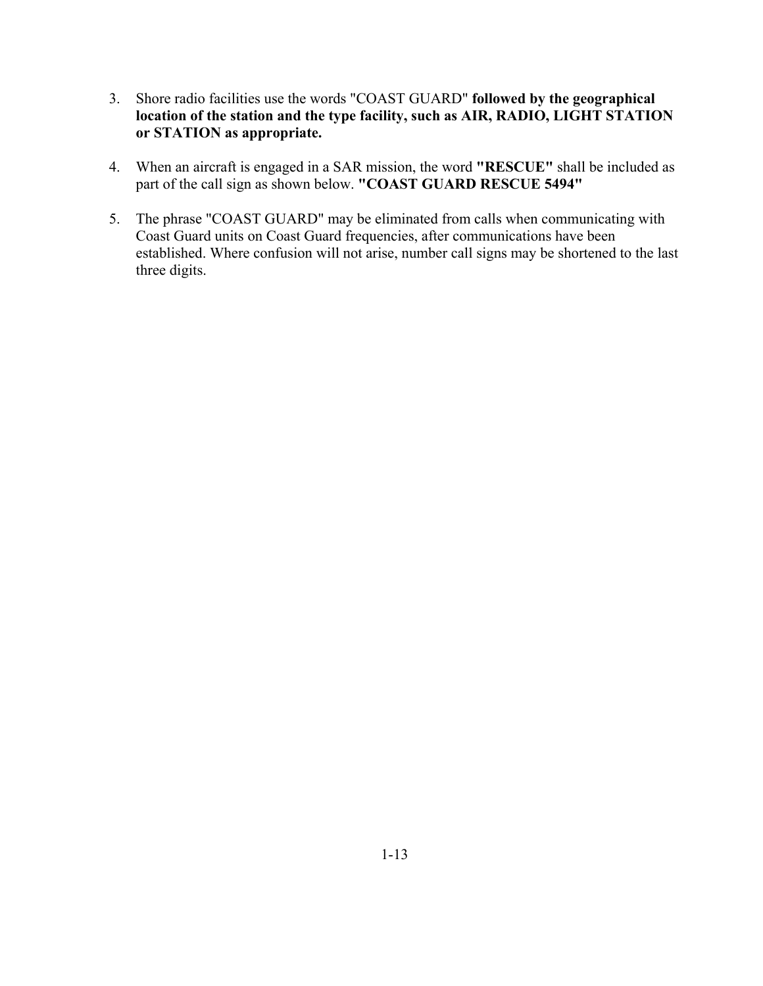- 3. Shore radio facilities use the words "COAST GUARD" **followed by the geographical location of the station and the type facility, such as AIR, RADIO, LIGHT STATION or STATION as appropriate.**
- 4. When an aircraft is engaged in a SAR mission, the word **"RESCUE"** shall be included as part of the call sign as shown below. **"COAST GUARD RESCUE 5494"**
- 5. The phrase "COAST GUARD" may be eliminated from calls when communicating with Coast Guard units on Coast Guard frequencies, after communications have been established. Where confusion will not arise, number call signs may be shortened to the last three digits.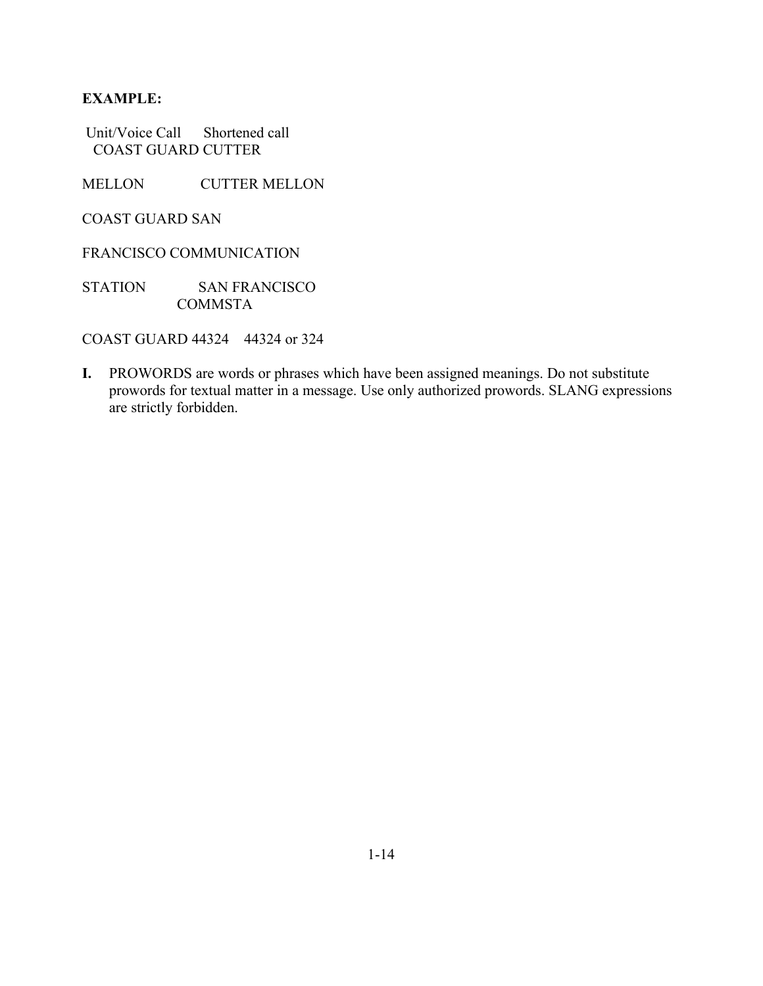Unit/Voice Call Shortened call COAST GUARD CUTTER

MELLON CUTTER MELLON

COAST GUARD SAN

FRANCISCO COMMUNICATION

STATION SAN FRANCISCO COMMSTA

COAST GUARD 44324 44324 or 324

**I.** PROWORDS are words or phrases which have been assigned meanings. Do not substitute prowords for textual matter in a message. Use only authorized prowords. SLANG expressions are strictly forbidden.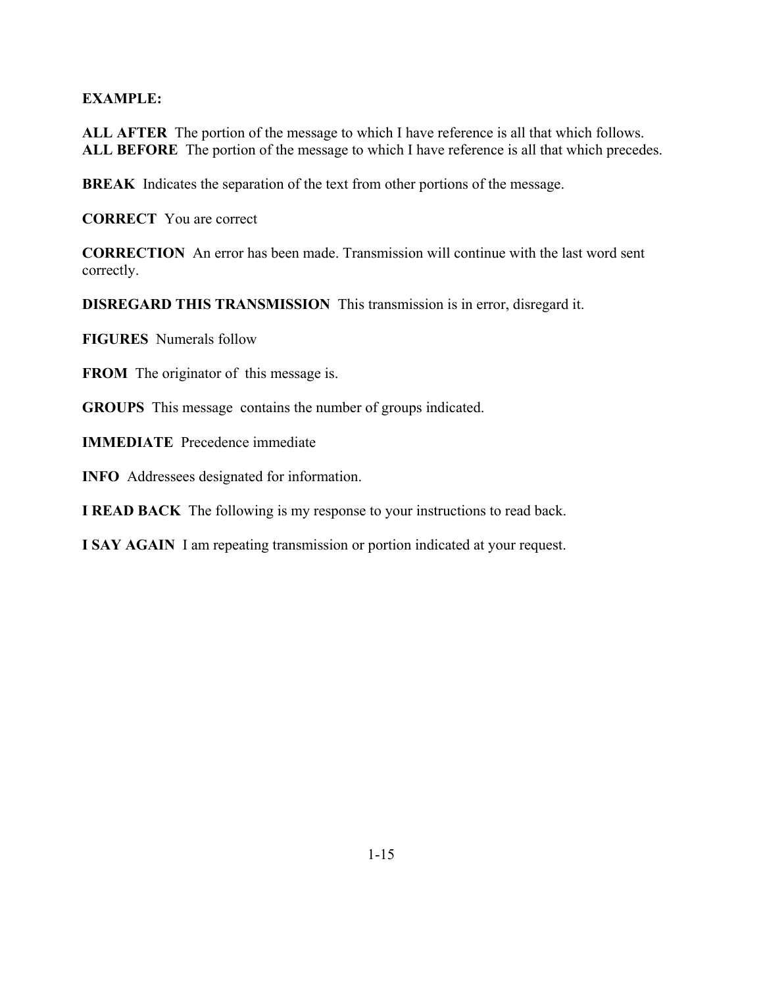**ALL AFTER** The portion of the message to which I have reference is all that which follows. ALL BEFORE The portion of the message to which I have reference is all that which precedes.

**BREAK** Indicates the separation of the text from other portions of the message.

**CORRECT** You are correct

**CORRECTION** An error has been made. Transmission will continue with the last word sent correctly.

**DISREGARD THIS TRANSMISSION** This transmission is in error, disregard it.

**FIGURES** Numerals follow

**FROM** The originator of this message is.

**GROUPS** This message contains the number of groups indicated.

**IMMEDIATE** Precedence immediate

**INFO** Addressees designated for information.

**I READ BACK** The following is my response to your instructions to read back.

**I SAY AGAIN** I am repeating transmission or portion indicated at your request.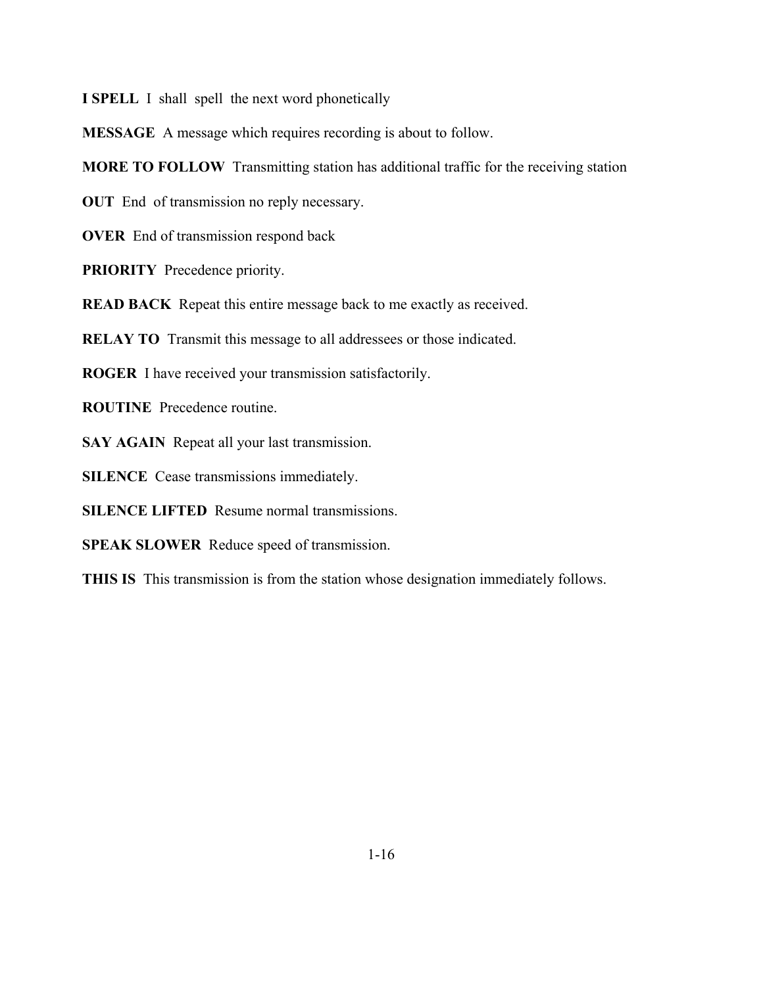**I SPELL** I shall spell the next word phonetically

**MESSAGE** A message which requires recording is about to follow.

**MORE TO FOLLOW** Transmitting station has additional traffic for the receiving station

**OUT** End of transmission no reply necessary.

**OVER** End of transmission respond back

**PRIORITY** Precedence priority.

**READ BACK** Repeat this entire message back to me exactly as received.

**RELAY TO** Transmit this message to all addressees or those indicated.

**ROGER** I have received your transmission satisfactorily.

**ROUTINE** Precedence routine.

**SAY AGAIN** Repeat all your last transmission.

**SILENCE** Cease transmissions immediately.

**SILENCE LIFTED** Resume normal transmissions.

**SPEAK SLOWER** Reduce speed of transmission.

**THIS IS** This transmission is from the station whose designation immediately follows.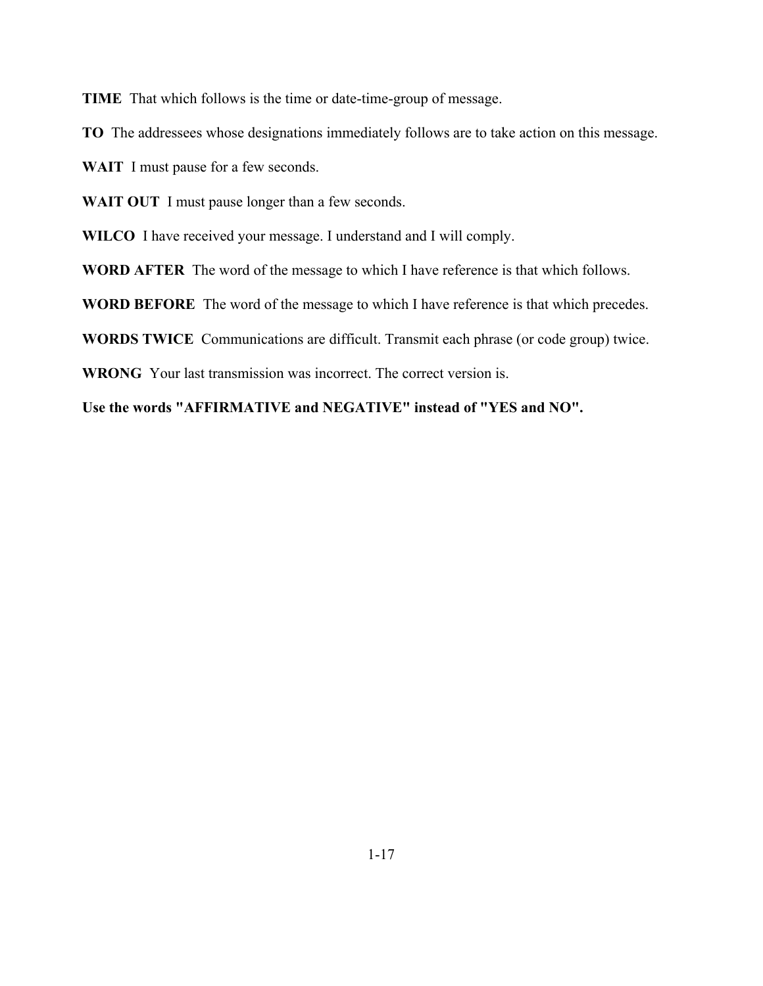**TIME** That which follows is the time or date-time-group of message.

**TO** The addressees whose designations immediately follows are to take action on this message.

**WAIT** I must pause for a few seconds.

**WAIT OUT** I must pause longer than a few seconds.

**WILCO** I have received your message. I understand and I will comply.

**WORD AFTER** The word of the message to which I have reference is that which follows.

**WORD BEFORE** The word of the message to which I have reference is that which precedes.

**WORDS TWICE** Communications are difficult. Transmit each phrase (or code group) twice.

**WRONG** Your last transmission was incorrect. The correct version is.

**Use the words "AFFIRMATIVE and NEGATIVE" instead of "YES and NO".**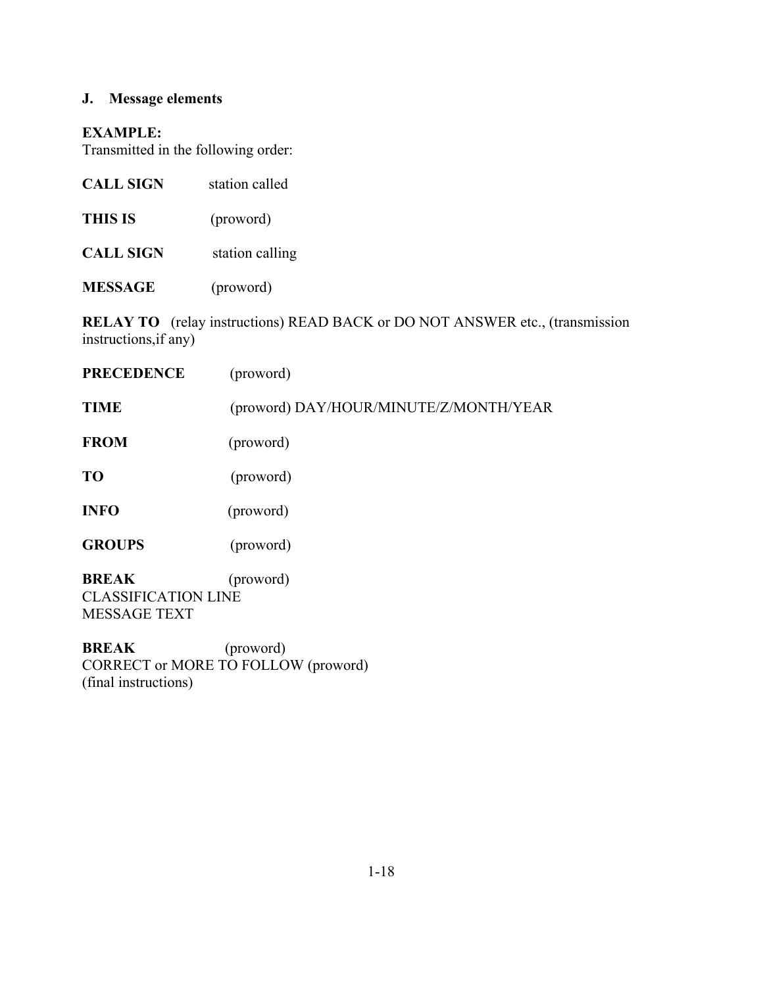# **J. Message elements**

#### **EXAMPLE:**

Transmitted in the following order:

| <b>CALL SIGN</b> | station called  |
|------------------|-----------------|
| <b>THIS IS</b>   | (proword)       |
| <b>CALL SIGN</b> | station calling |

**MESSAGE** (proword)

**RELAY TO** (relay instructions) READ BACK or DO NOT ANSWER etc., (transmission instructions,if any)

| <b>PRECEDENCE</b>                          | (proword)                              |
|--------------------------------------------|----------------------------------------|
| <b>TIME</b>                                | (proword) DAY/HOUR/MINUTE/Z/MONTH/YEAR |
| <b>FROM</b>                                | (proword)                              |
| T <sub>O</sub>                             | (proword)                              |
| <b>INFO</b>                                | (proword)                              |
| <b>GROUPS</b>                              | (proword)                              |
| <b>BREAK</b><br><b>CLASSIFICATION LINE</b> | (proword)                              |

MESSAGE TEXT

**BREAK** (proword) CORRECT or MORE TO FOLLOW (proword) (final instructions)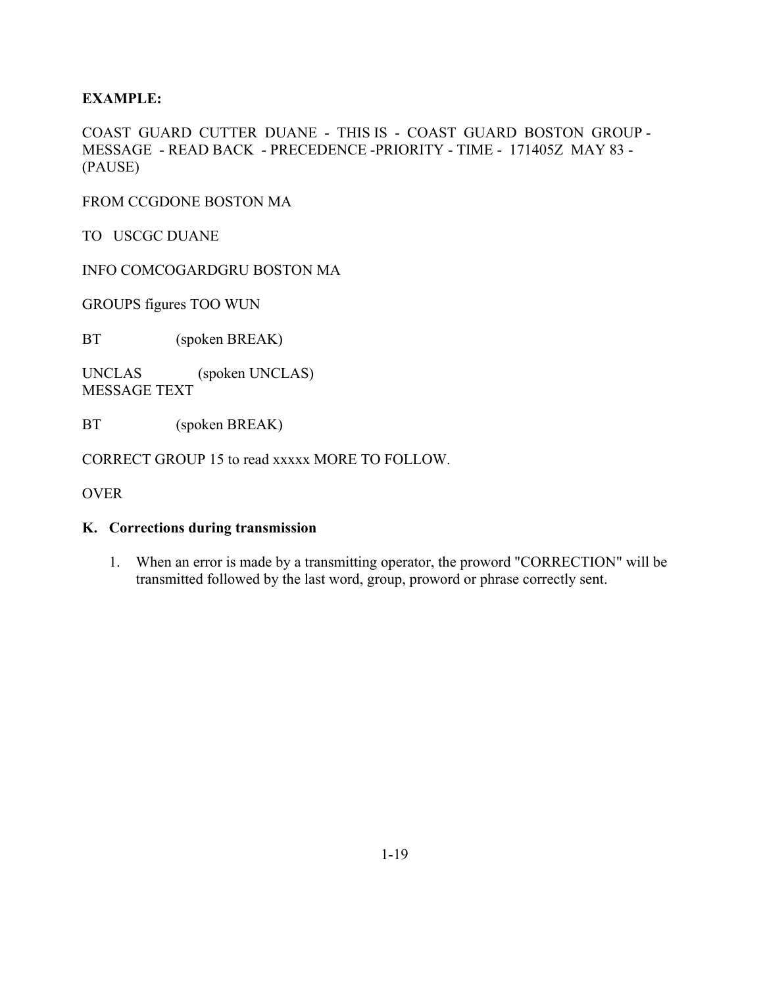COAST GUARD CUTTER DUANE - THIS IS - COAST GUARD BOSTON GROUP - MESSAGE - READ BACK - PRECEDENCE -PRIORITY - TIME - 171405Z MAY 83 - (PAUSE)

FROM CCGDONE BOSTON MA

TO USCGC DUANE

INFO COMCOGARDGRU BOSTON MA

GROUPS figures TOO WUN

BT (spoken BREAK)

UNCLAS (spoken UNCLAS) MESSAGE TEXT

BT (spoken BREAK)

CORRECT GROUP 15 to read xxxxx MORE TO FOLLOW.

OVER

#### **K. Corrections during transmission**

1. When an error is made by a transmitting operator, the proword "CORRECTION" will be transmitted followed by the last word, group, proword or phrase correctly sent.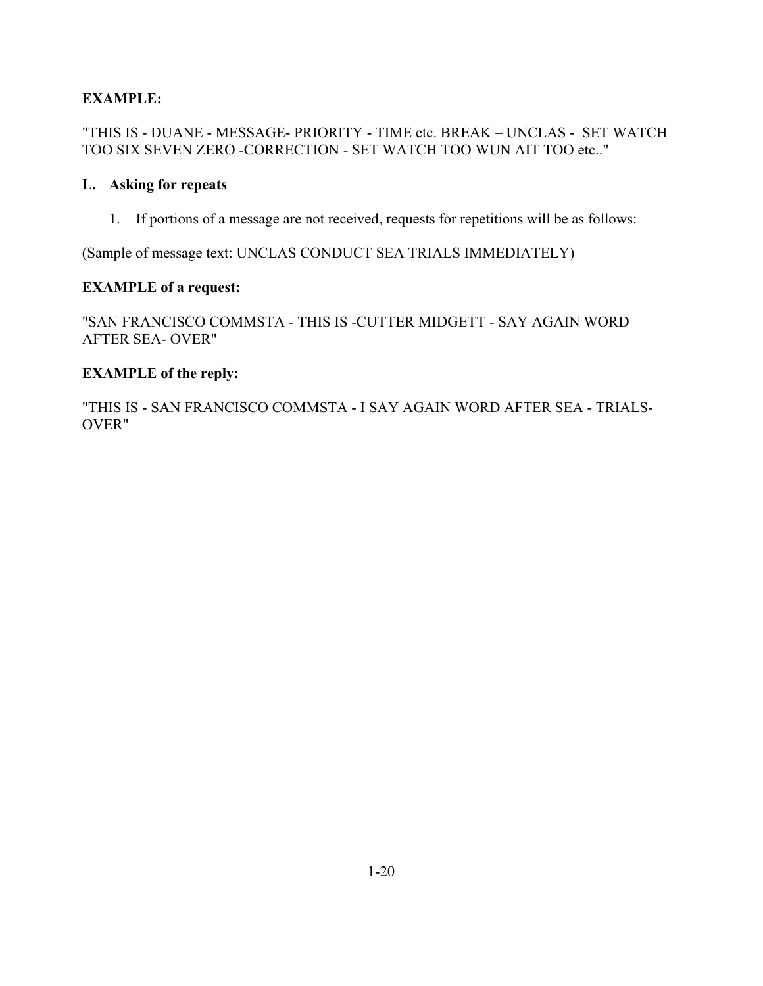"THIS IS - DUANE - MESSAGE- PRIORITY - TIME etc. BREAK – UNCLAS - SET WATCH TOO SIX SEVEN ZERO -CORRECTION - SET WATCH TOO WUN AIT TOO etc.."

#### **L. Asking for repeats**

1. If portions of a message are not received, requests for repetitions will be as follows:

(Sample of message text: UNCLAS CONDUCT SEA TRIALS IMMEDIATELY)

#### **EXAMPLE of a request:**

"SAN FRANCISCO COMMSTA - THIS IS -CUTTER MIDGETT - SAY AGAIN WORD AFTER SEA- OVER"

#### **EXAMPLE of the reply:**

"THIS IS - SAN FRANCISCO COMMSTA - I SAY AGAIN WORD AFTER SEA - TRIALS-OVER"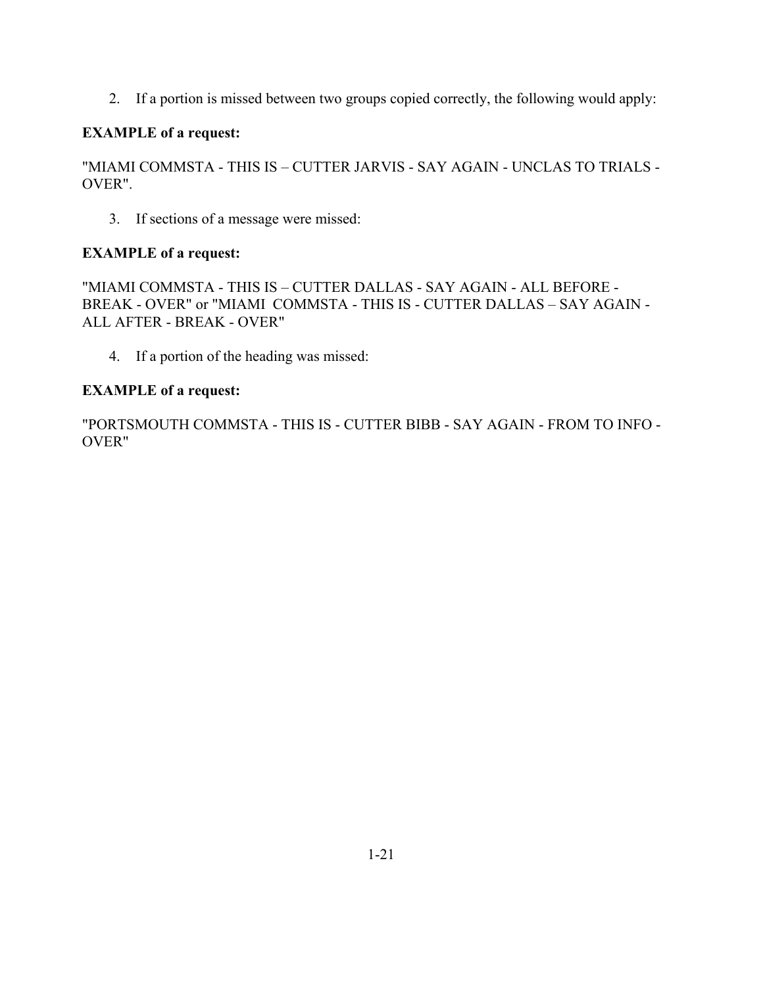2. If a portion is missed between two groups copied correctly, the following would apply:

## **EXAMPLE of a request:**

"MIAMI COMMSTA - THIS IS – CUTTER JARVIS - SAY AGAIN - UNCLAS TO TRIALS - OVER".

3. If sections of a message were missed:

# **EXAMPLE of a request:**

"MIAMI COMMSTA - THIS IS – CUTTER DALLAS - SAY AGAIN - ALL BEFORE - BREAK - OVER" or "MIAMI COMMSTA - THIS IS - CUTTER DALLAS – SAY AGAIN - ALL AFTER - BREAK - OVER"

4. If a portion of the heading was missed:

# **EXAMPLE of a request:**

"PORTSMOUTH COMMSTA - THIS IS - CUTTER BIBB - SAY AGAIN - FROM TO INFO - OVER"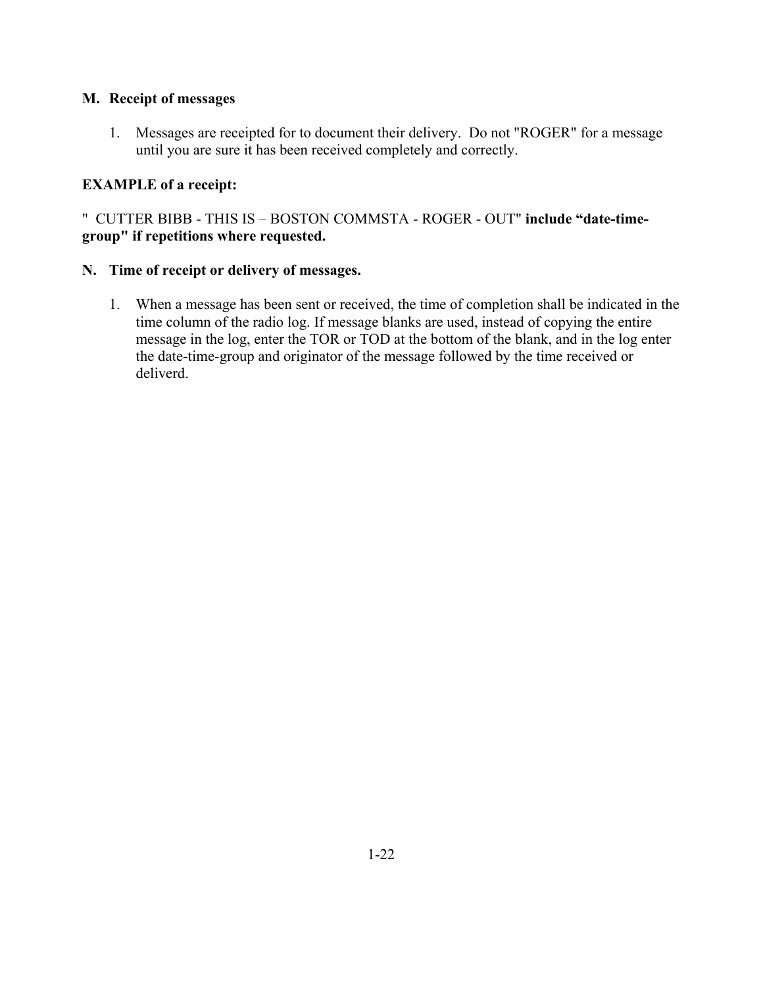#### **M. Receipt of messages**

1. Messages are receipted for to document their delivery. Do not "ROGER" for a message until you are sure it has been received completely and correctly.

### **EXAMPLE of a receipt:**

" CUTTER BIBB - THIS IS – BOSTON COMMSTA - ROGER - OUT" **include "date-timegroup" if repetitions where requested.** 

#### **N. Time of receipt or delivery of messages.**

1. When a message has been sent or received, the time of completion shall be indicated in the time column of the radio log. If message blanks are used, instead of copying the entire message in the log, enter the TOR or TOD at the bottom of the blank, and in the log enter the date-time-group and originator of the message followed by the time received or deliverd.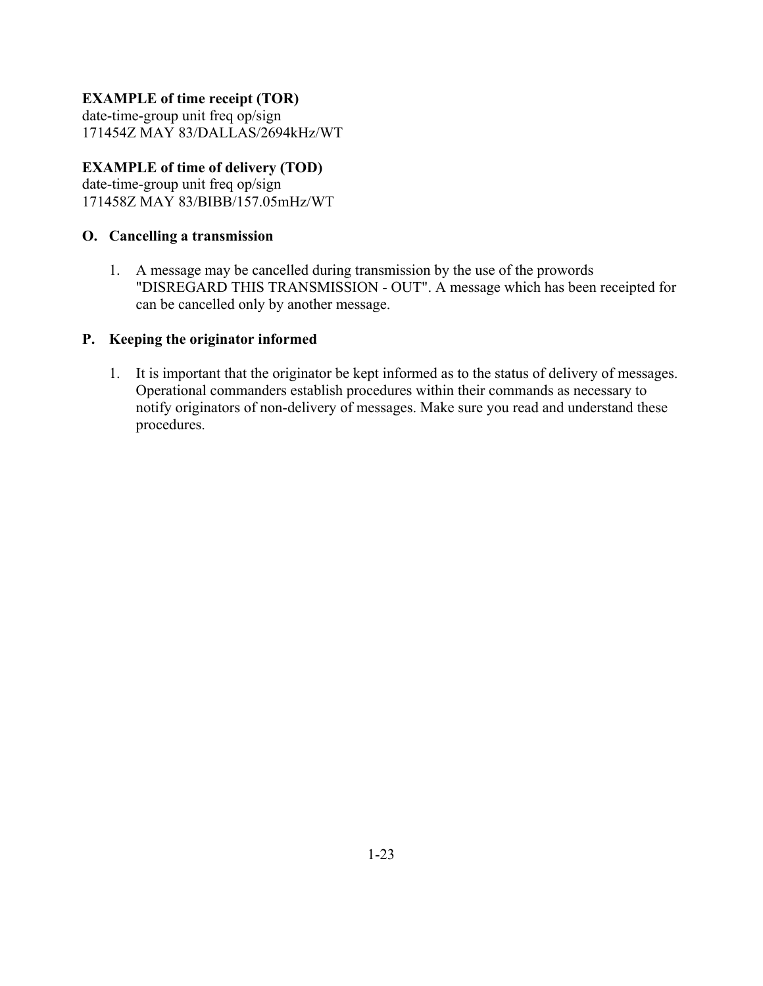## **EXAMPLE of time receipt (TOR)**

date-time-group unit freq op/sign 171454Z MAY 83/DALLAS/2694kHz/WT

### **EXAMPLE of time of delivery (TOD)**

date-time-group unit freq op/sign 171458Z MAY 83/BIBB/157.05mHz/WT

### **O. Cancelling a transmission**

1. A message may be cancelled during transmission by the use of the prowords "DISREGARD THIS TRANSMISSION - OUT". A message which has been receipted for can be cancelled only by another message.

### **P. Keeping the originator informed**

1. It is important that the originator be kept informed as to the status of delivery of messages. Operational commanders establish procedures within their commands as necessary to notify originators of non-delivery of messages. Make sure you read and understand these procedures.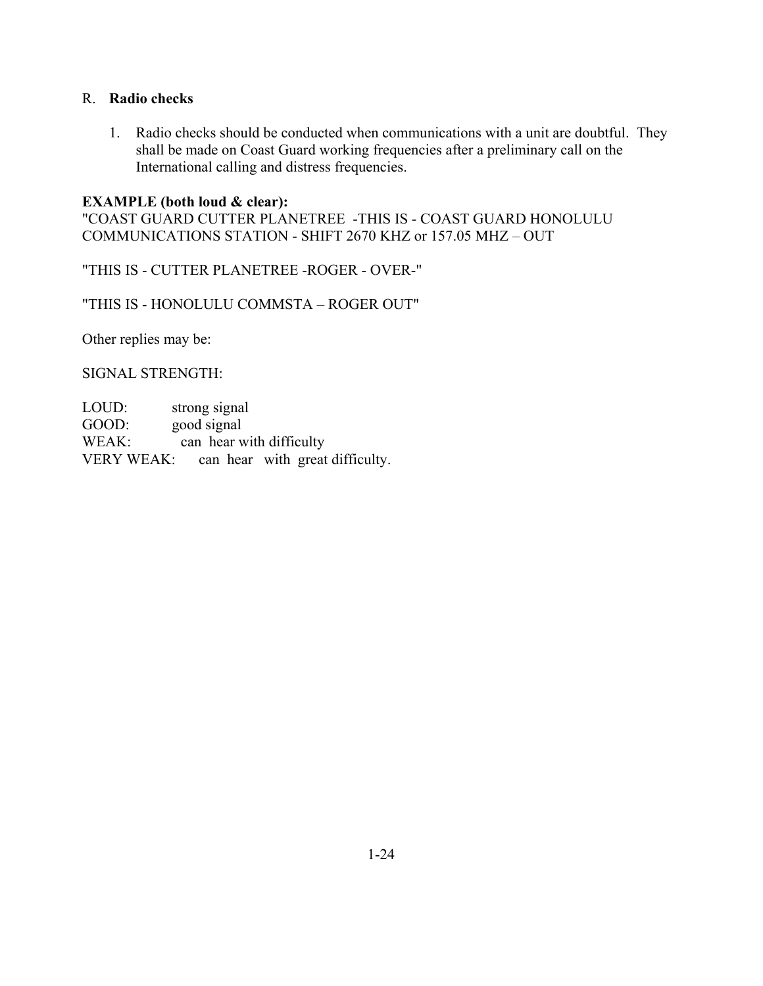#### R. **Radio checks**

1. Radio checks should be conducted when communications with a unit are doubtful. They shall be made on Coast Guard working frequencies after a preliminary call on the International calling and distress frequencies.

#### **EXAMPLE (both loud & clear):**

"COAST GUARD CUTTER PLANETREE -THIS IS - COAST GUARD HONOLULU COMMUNICATIONS STATION - SHIFT 2670 KHZ or 157.05 MHZ – OUT

"THIS IS - CUTTER PLANETREE -ROGER - OVER-"

"THIS IS - HONOLULU COMMSTA – ROGER OUT"

Other replies may be:

SIGNAL STRENGTH:

| LOUD: | strong signal                              |
|-------|--------------------------------------------|
| GOOD: | good signal                                |
| WEAK: | can hear with difficulty                   |
|       | VERY WEAK: can hear with great difficulty. |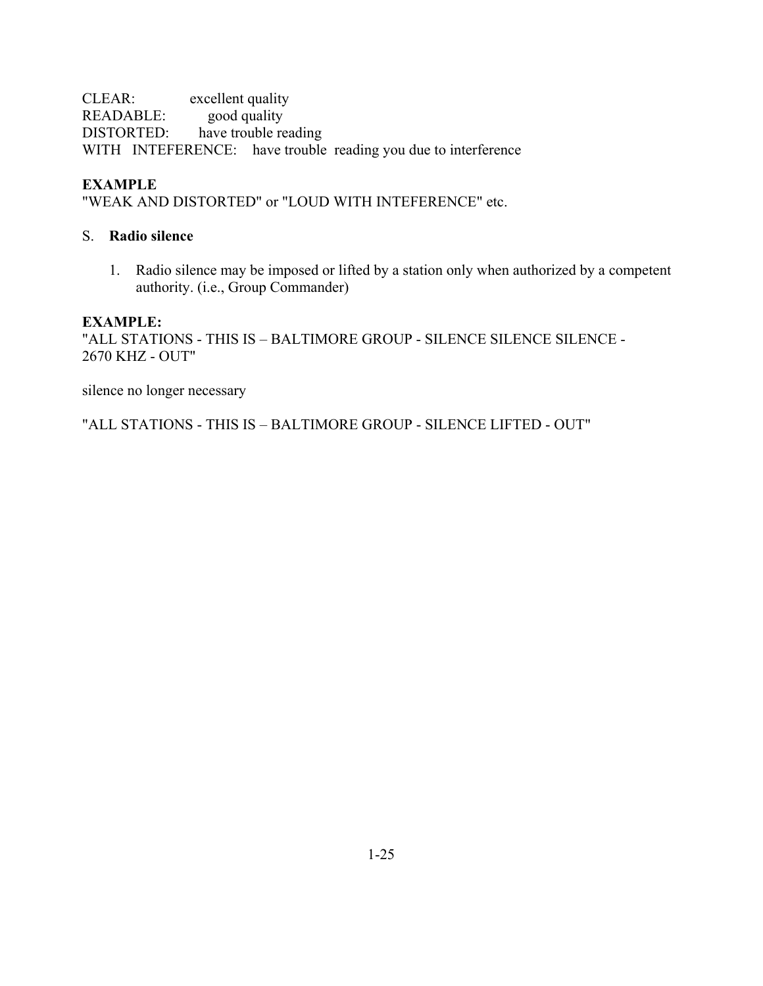CLEAR: excellent quality READABLE: good quality DISTORTED: have trouble reading WITH INTEFERENCE: have trouble reading you due to interference

## **EXAMPLE**

"WEAK AND DISTORTED" or "LOUD WITH INTEFERENCE" etc.

### S. **Radio silence**

1. Radio silence may be imposed or lifted by a station only when authorized by a competent authority. (i.e., Group Commander)

#### **EXAMPLE:**

"ALL STATIONS - THIS IS – BALTIMORE GROUP - SILENCE SILENCE SILENCE - 2670 KHZ - OUT"

silence no longer necessary

"ALL STATIONS - THIS IS – BALTIMORE GROUP - SILENCE LIFTED - OUT"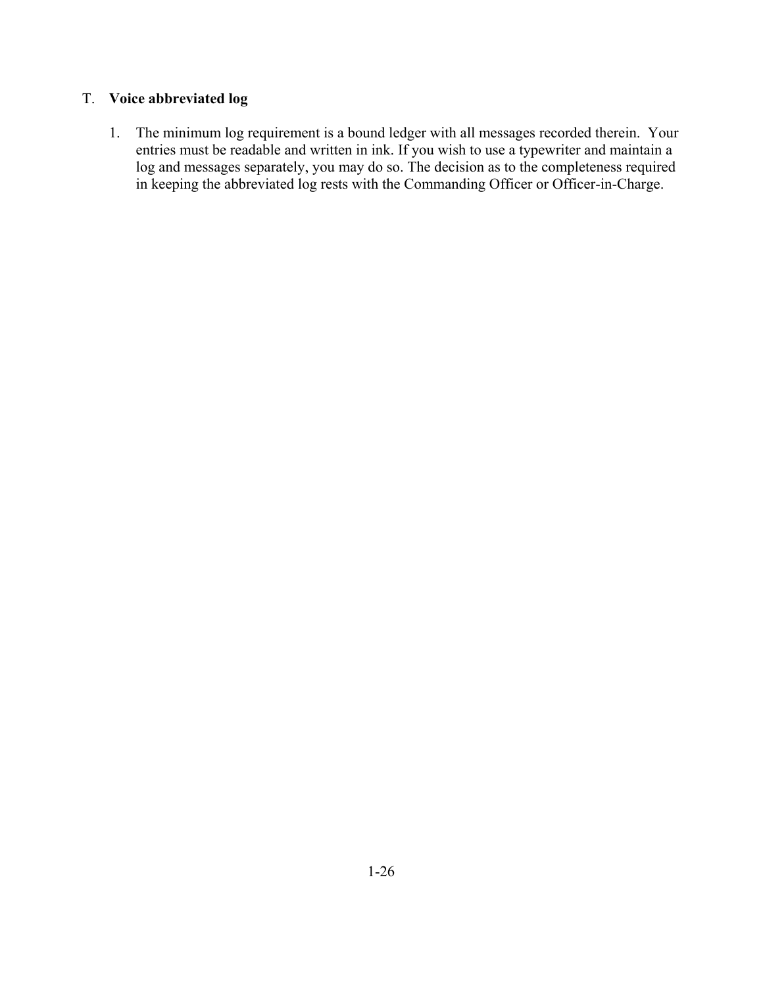# T. **Voice abbreviated log**

1. The minimum log requirement is a bound ledger with all messages recorded therein. Your entries must be readable and written in ink. If you wish to use a typewriter and maintain a log and messages separately, you may do so. The decision as to the completeness required in keeping the abbreviated log rests with the Commanding Officer or Officer-in-Charge.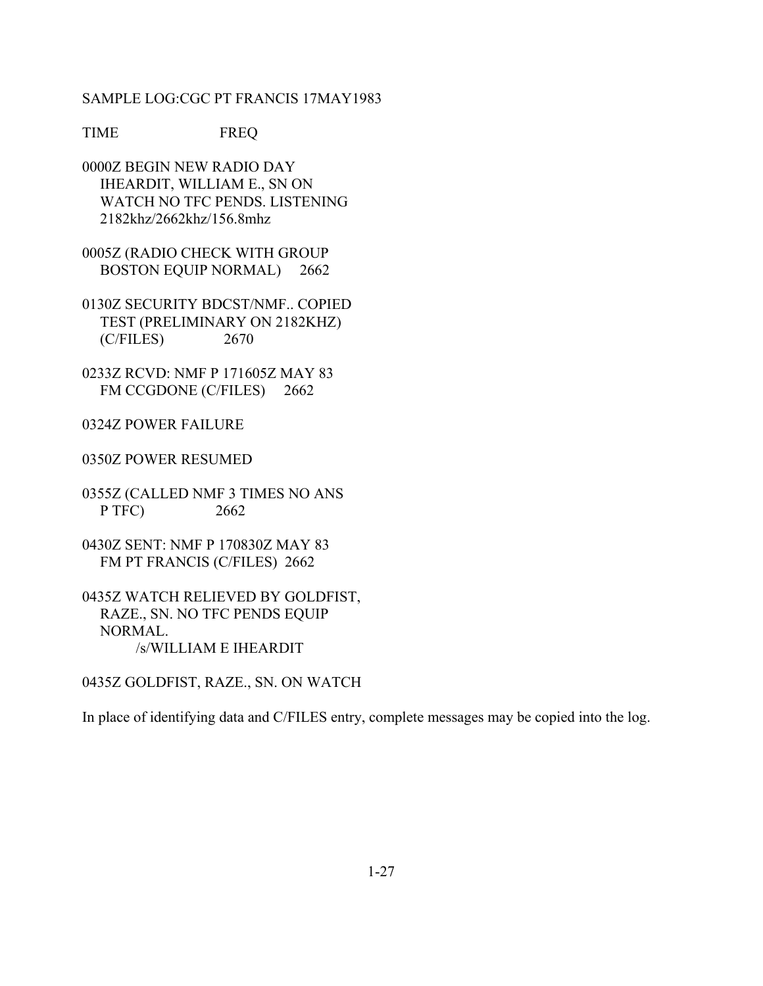#### SAMPLE LOG:CGC PT FRANCIS 17MAY1983

TIME FREQ

0000Z BEGIN NEW RADIO DAY IHEARDIT, WILLIAM E., SN ON WATCH NO TFC PENDS. LISTENING 2182khz/2662khz/156.8mhz

0005Z (RADIO CHECK WITH GROUP BOSTON EQUIP NORMAL) 2662

0130Z SECURITY BDCST/NMF.. COPIED TEST (PRELIMINARY ON 2182KHZ) (C/FILES) 2670

0233Z RCVD: NMF P 171605Z MAY 83 FM CCGDONE (C/FILES) 2662

0324Z POWER FAILURE

0350Z POWER RESUMED

0355Z (CALLED NMF 3 TIMES NO ANS P TFC) 2662

0430Z SENT: NMF P 170830Z MAY 83 FM PT FRANCIS (C/FILES) 2662

0435Z WATCH RELIEVED BY GOLDFIST, RAZE., SN. NO TFC PENDS EQUIP NORMAL. /s/WILLIAM E IHEARDIT

0435Z GOLDFIST, RAZE., SN. ON WATCH

In place of identifying data and C/FILES entry, complete messages may be copied into the log.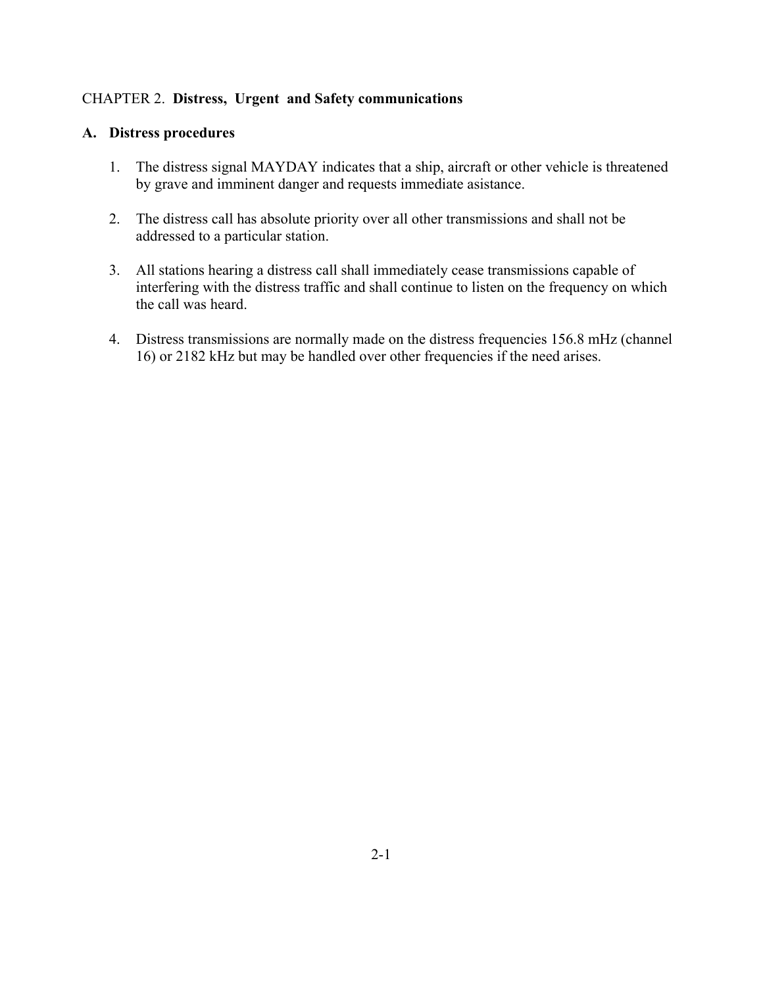### CHAPTER 2. **Distress, Urgent and Safety communications**

#### **A. Distress procedures**

- 1. The distress signal MAYDAY indicates that a ship, aircraft or other vehicle is threatened by grave and imminent danger and requests immediate asistance.
- 2. The distress call has absolute priority over all other transmissions and shall not be addressed to a particular station.
- 3. All stations hearing a distress call shall immediately cease transmissions capable of interfering with the distress traffic and shall continue to listen on the frequency on which the call was heard.
- 4. Distress transmissions are normally made on the distress frequencies 156.8 mHz (channel 16) or 2182 kHz but may be handled over other frequencies if the need arises.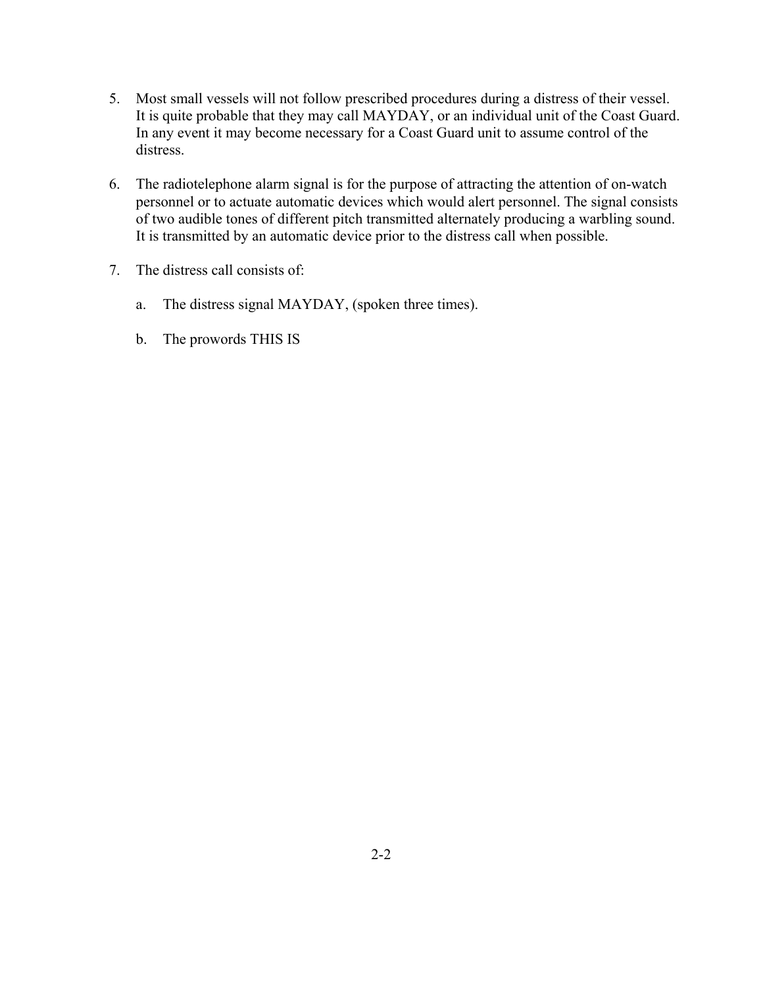- 5. Most small vessels will not follow prescribed procedures during a distress of their vessel. It is quite probable that they may call MAYDAY, or an individual unit of the Coast Guard. In any event it may become necessary for a Coast Guard unit to assume control of the distress.
- 6. The radiotelephone alarm signal is for the purpose of attracting the attention of on-watch personnel or to actuate automatic devices which would alert personnel. The signal consists of two audible tones of different pitch transmitted alternately producing a warbling sound. It is transmitted by an automatic device prior to the distress call when possible.
- 7. The distress call consists of:
	- a. The distress signal MAYDAY, (spoken three times).
	- b. The prowords THIS IS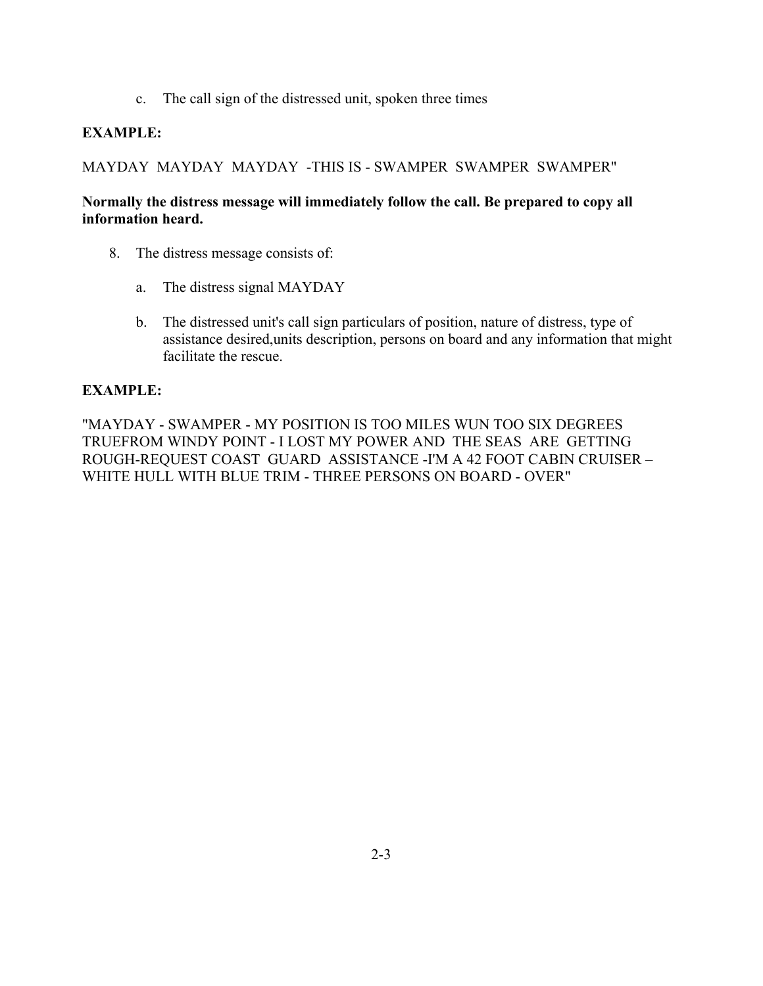c. The call sign of the distressed unit, spoken three times

## **EXAMPLE:**

MAYDAY MAYDAY MAYDAY -THIS IS - SWAMPER SWAMPER SWAMPER"

### **Normally the distress message will immediately follow the call. Be prepared to copy all information heard.**

- 8. The distress message consists of:
	- a. The distress signal MAYDAY
	- b. The distressed unit's call sign particulars of position, nature of distress, type of assistance desired,units description, persons on board and any information that might facilitate the rescue.

### **EXAMPLE:**

"MAYDAY - SWAMPER - MY POSITION IS TOO MILES WUN TOO SIX DEGREES TRUEFROM WINDY POINT - I LOST MY POWER AND THE SEAS ARE GETTING ROUGH-REQUEST COAST GUARD ASSISTANCE -I'M A 42 FOOT CABIN CRUISER – WHITE HULL WITH BLUE TRIM - THREE PERSONS ON BOARD - OVER"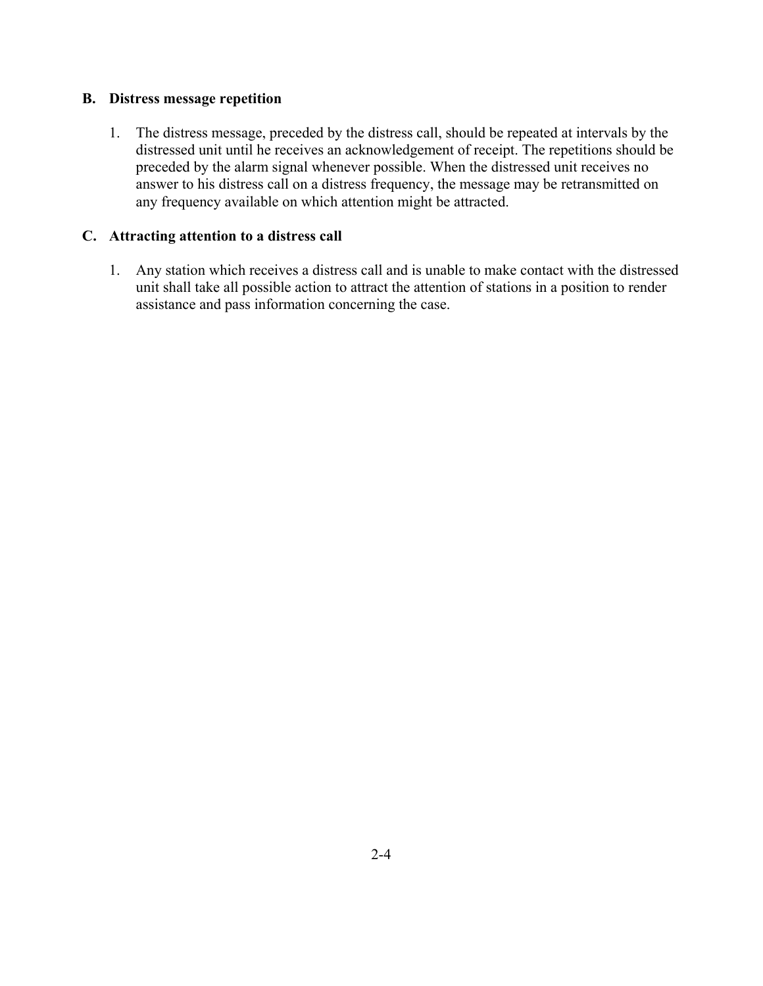#### **B. Distress message repetition**

1. The distress message, preceded by the distress call, should be repeated at intervals by the distressed unit until he receives an acknowledgement of receipt. The repetitions should be preceded by the alarm signal whenever possible. When the distressed unit receives no answer to his distress call on a distress frequency, the message may be retransmitted on any frequency available on which attention might be attracted.

#### **C. Attracting attention to a distress call**

1. Any station which receives a distress call and is unable to make contact with the distressed unit shall take all possible action to attract the attention of stations in a position to render assistance and pass information concerning the case.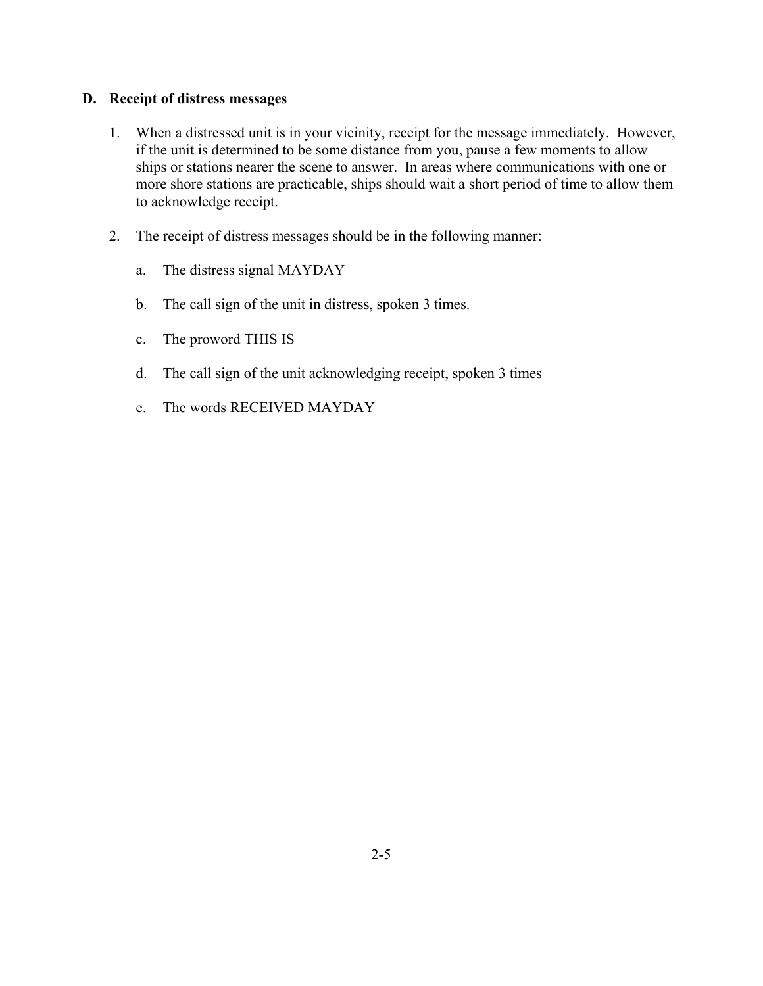### **D. Receipt of distress messages**

- 1. When a distressed unit is in your vicinity, receipt for the message immediately. However, if the unit is determined to be some distance from you, pause a few moments to allow ships or stations nearer the scene to answer. In areas where communications with one or more shore stations are practicable, ships should wait a short period of time to allow them to acknowledge receipt.
- 2. The receipt of distress messages should be in the following manner:
	- a. The distress signal MAYDAY
	- b. The call sign of the unit in distress, spoken 3 times.
	- c. The proword THIS IS
	- d. The call sign of the unit acknowledging receipt, spoken 3 times
	- e. The words RECEIVED MAYDAY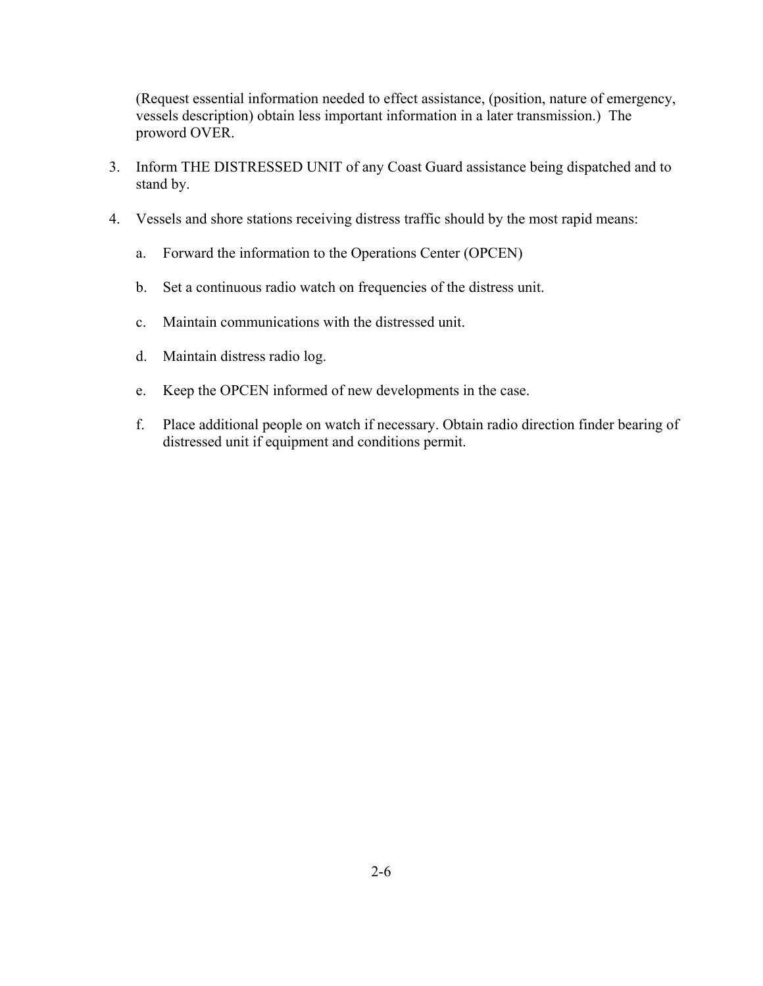(Request essential information needed to effect assistance, (position, nature of emergency, vessels description) obtain less important information in a later transmission.) The proword OVER.

- 3. Inform THE DISTRESSED UNIT of any Coast Guard assistance being dispatched and to stand by.
- 4. Vessels and shore stations receiving distress traffic should by the most rapid means:
	- a. Forward the information to the Operations Center (OPCEN)
	- b. Set a continuous radio watch on frequencies of the distress unit.
	- c. Maintain communications with the distressed unit.
	- d. Maintain distress radio log.
	- e. Keep the OPCEN informed of new developments in the case.
	- f. Place additional people on watch if necessary. Obtain radio direction finder bearing of distressed unit if equipment and conditions permit.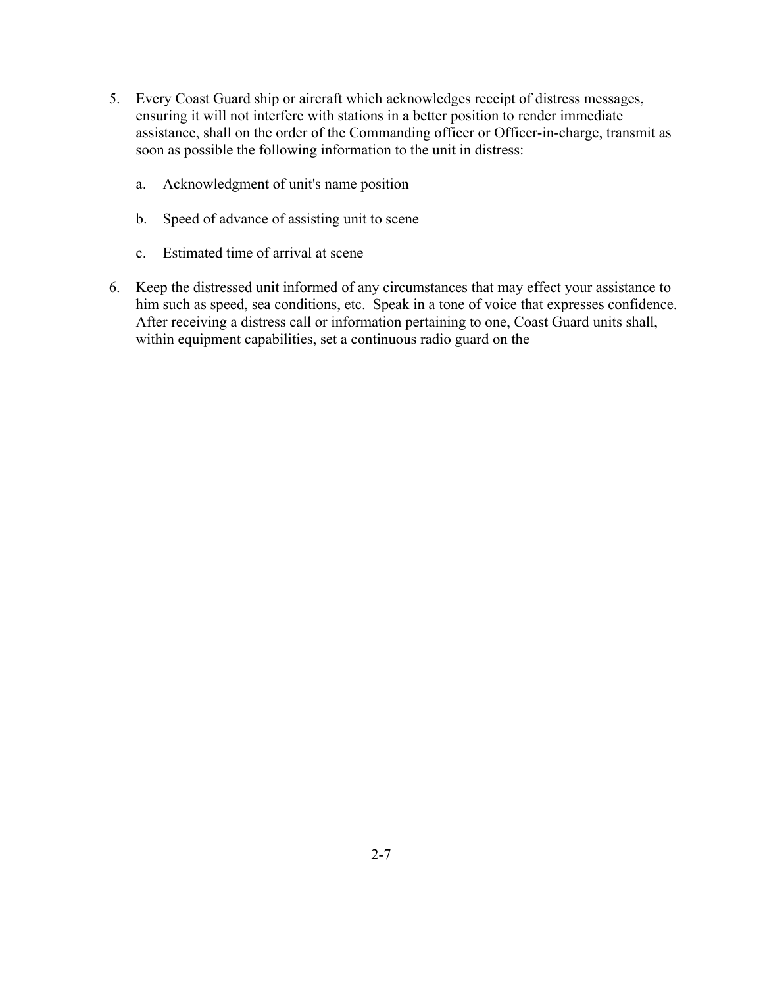- 5. Every Coast Guard ship or aircraft which acknowledges receipt of distress messages, ensuring it will not interfere with stations in a better position to render immediate assistance, shall on the order of the Commanding officer or Officer-in-charge, transmit as soon as possible the following information to the unit in distress:
	- a. Acknowledgment of unit's name position
	- b. Speed of advance of assisting unit to scene
	- c. Estimated time of arrival at scene
- 6. Keep the distressed unit informed of any circumstances that may effect your assistance to him such as speed, sea conditions, etc. Speak in a tone of voice that expresses confidence. After receiving a distress call or information pertaining to one, Coast Guard units shall, within equipment capabilities, set a continuous radio guard on the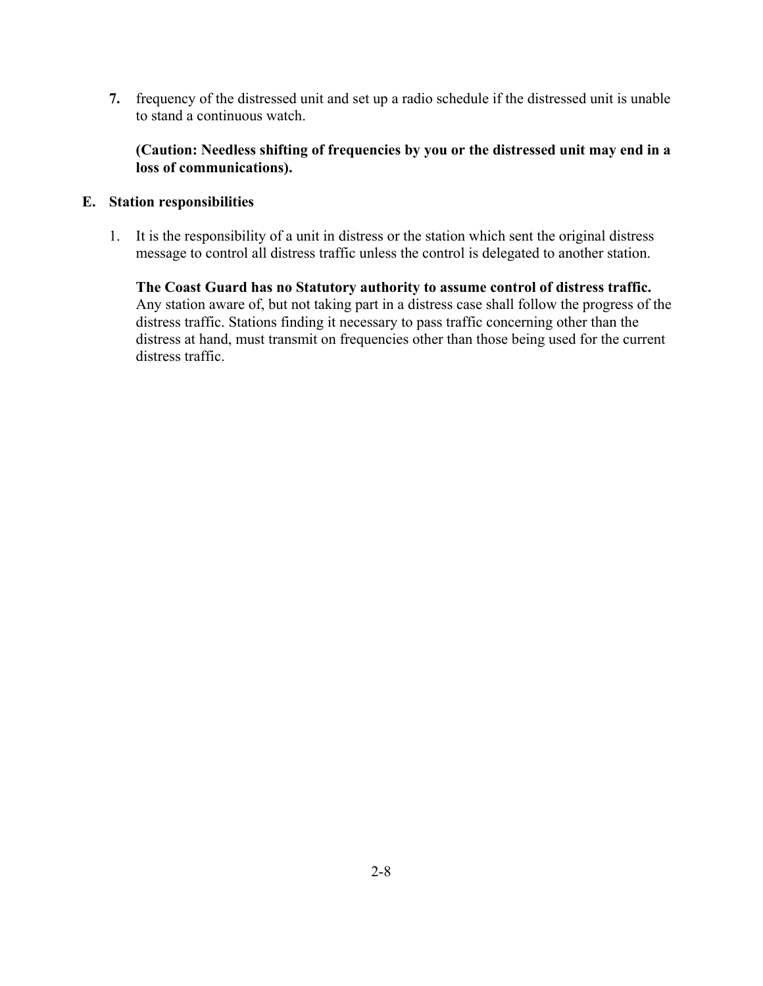**7.** frequency of the distressed unit and set up a radio schedule if the distressed unit is unable to stand a continuous watch.

#### **(Caution: Needless shifting of frequencies by you or the distressed unit may end in a loss of communications).**

#### **E. Station responsibilities**

1. It is the responsibility of a unit in distress or the station which sent the original distress message to control all distress traffic unless the control is delegated to another station.

**The Coast Guard has no Statutory authority to assume control of distress traffic.** Any station aware of, but not taking part in a distress case shall follow the progress of the distress traffic. Stations finding it necessary to pass traffic concerning other than the distress at hand, must transmit on frequencies other than those being used for the current distress traffic.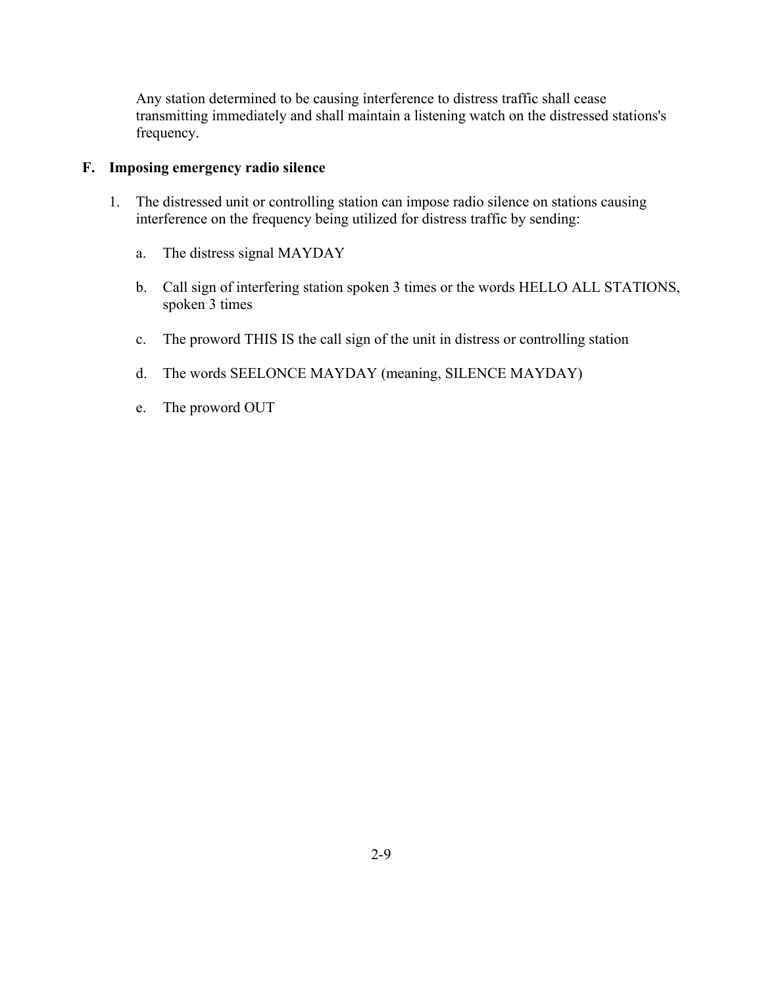Any station determined to be causing interference to distress traffic shall cease transmitting immediately and shall maintain a listening watch on the distressed stations's frequency.

#### **F. Imposing emergency radio silence**

- 1. The distressed unit or controlling station can impose radio silence on stations causing interference on the frequency being utilized for distress traffic by sending:
	- a. The distress signal MAYDAY
	- b. Call sign of interfering station spoken 3 times or the words HELLO ALL STATIONS, spoken 3 times
	- c. The proword THIS IS the call sign of the unit in distress or controlling station
	- d. The words SEELONCE MAYDAY (meaning, SILENCE MAYDAY)
	- e. The proword OUT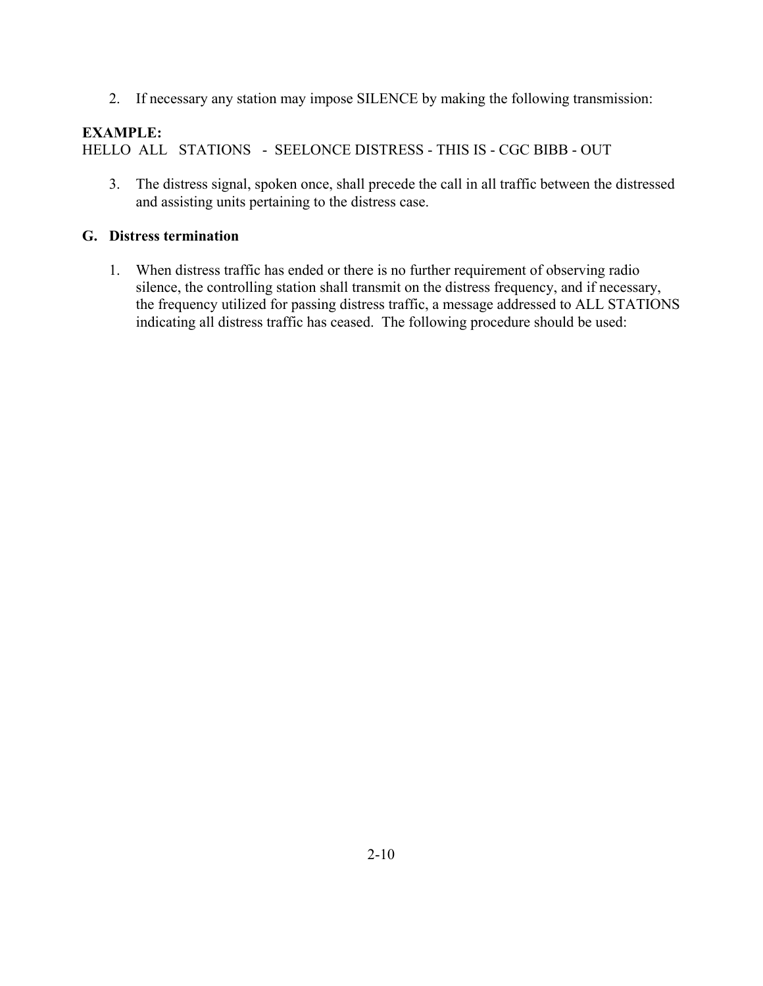2. If necessary any station may impose SILENCE by making the following transmission:

# **EXAMPLE:**

HELLO ALL STATIONS - SEELONCE DISTRESS - THIS IS - CGC BIBB - OUT

3. The distress signal, spoken once, shall precede the call in all traffic between the distressed and assisting units pertaining to the distress case.

### **G. Distress termination**

1. When distress traffic has ended or there is no further requirement of observing radio silence, the controlling station shall transmit on the distress frequency, and if necessary, the frequency utilized for passing distress traffic, a message addressed to ALL STATIONS indicating all distress traffic has ceased. The following procedure should be used: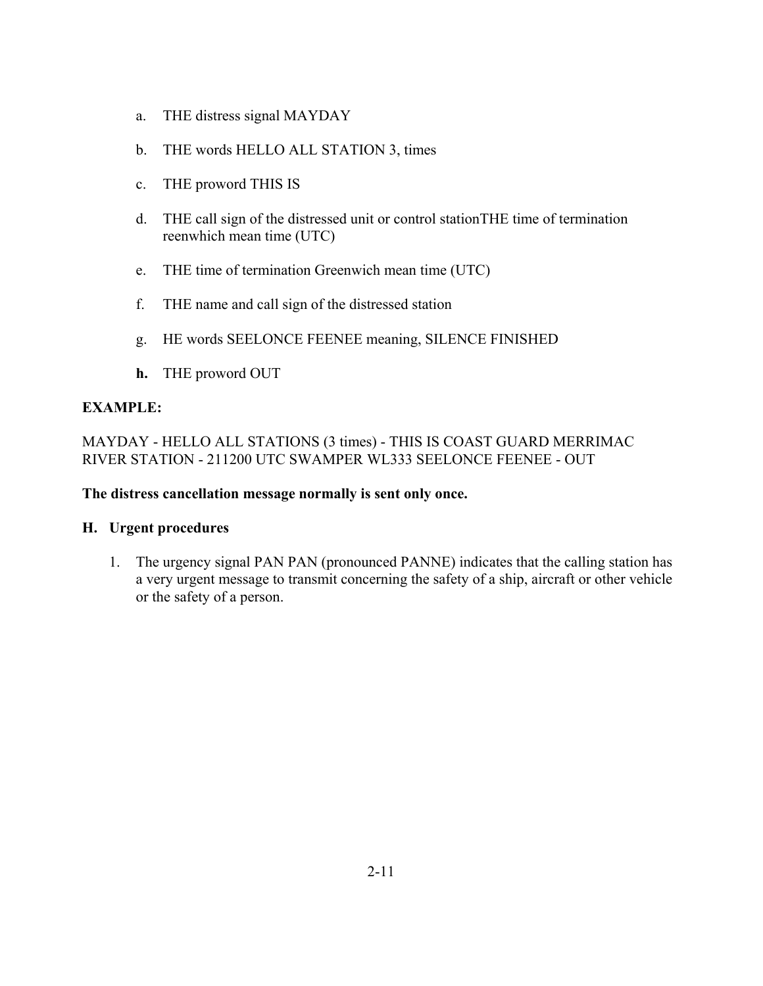- a. THE distress signal MAYDAY
- b. THE words HELLO ALL STATION 3, times
- c. THE proword THIS IS
- d. THE call sign of the distressed unit or control stationTHE time of termination reenwhich mean time (UTC)
- e. THE time of termination Greenwich mean time (UTC)
- f. THE name and call sign of the distressed station
- g. HE words SEELONCE FEENEE meaning, SILENCE FINISHED
- **h.** THE proword OUT

MAYDAY - HELLO ALL STATIONS (3 times) - THIS IS COAST GUARD MERRIMAC RIVER STATION - 211200 UTC SWAMPER WL333 SEELONCE FEENEE - OUT

#### **The distress cancellation message normally is sent only once.**

#### **H. Urgent procedures**

1. The urgency signal PAN PAN (pronounced PANNE) indicates that the calling station has a very urgent message to transmit concerning the safety of a ship, aircraft or other vehicle or the safety of a person.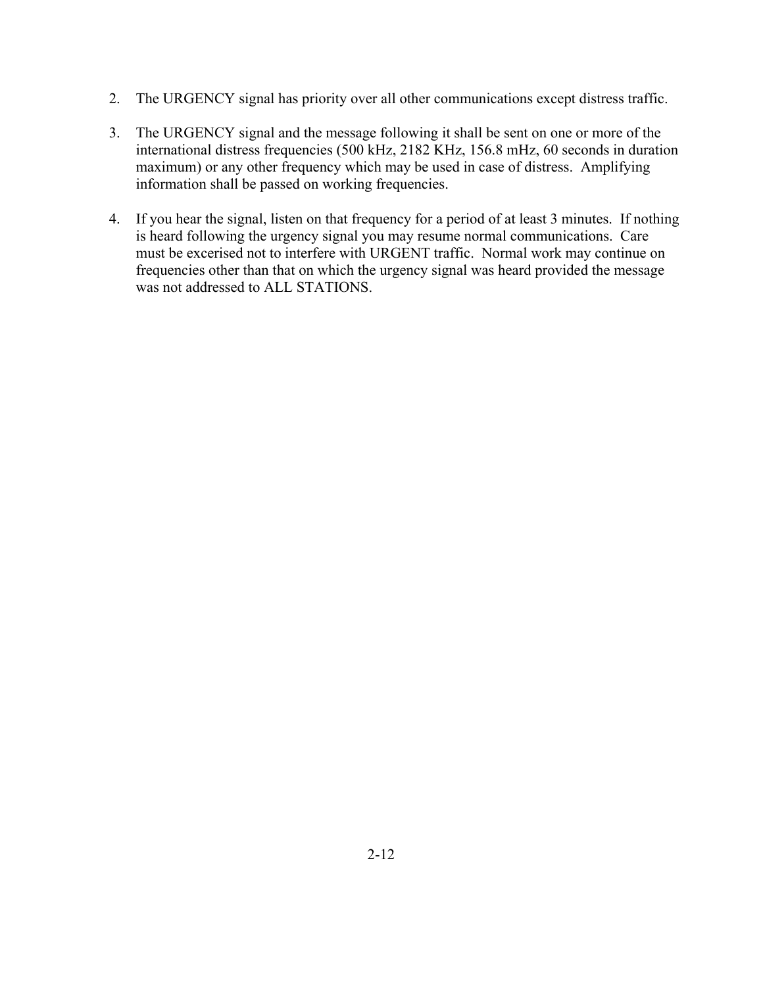- 2. The URGENCY signal has priority over all other communications except distress traffic.
- 3. The URGENCY signal and the message following it shall be sent on one or more of the international distress frequencies (500 kHz, 2182 KHz, 156.8 mHz, 60 seconds in duration maximum) or any other frequency which may be used in case of distress. Amplifying information shall be passed on working frequencies.
- 4. If you hear the signal, listen on that frequency for a period of at least 3 minutes. If nothing is heard following the urgency signal you may resume normal communications. Care must be excerised not to interfere with URGENT traffic. Normal work may continue on frequencies other than that on which the urgency signal was heard provided the message was not addressed to ALL STATIONS.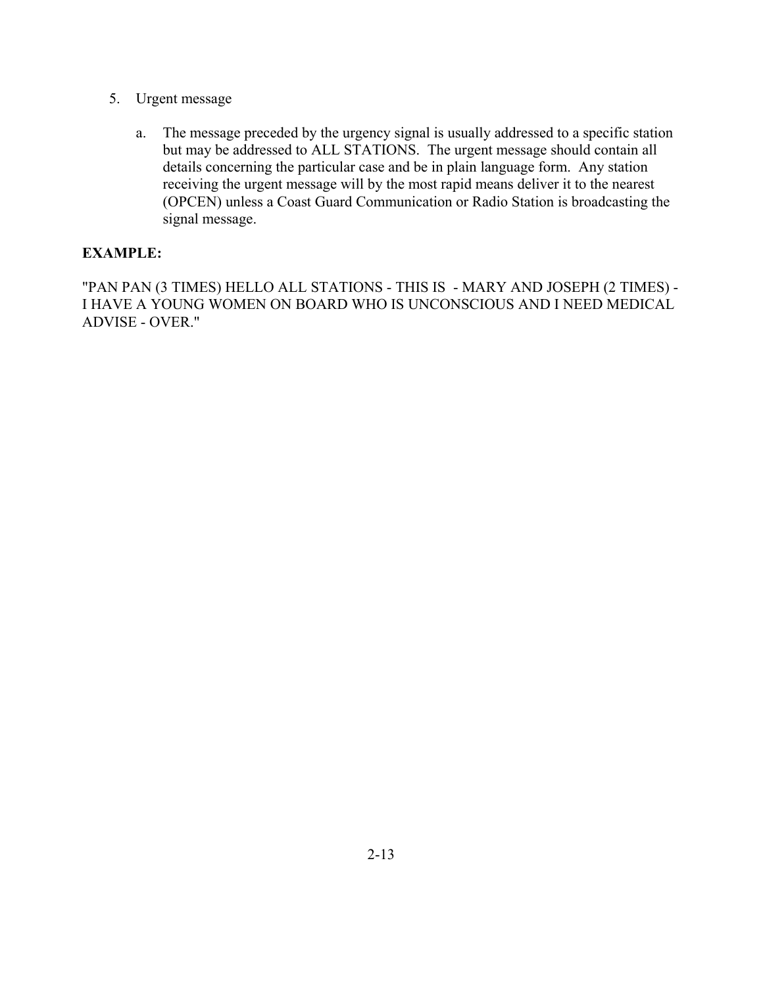- 5. Urgent message
	- a. The message preceded by the urgency signal is usually addressed to a specific station but may be addressed to ALL STATIONS. The urgent message should contain all details concerning the particular case and be in plain language form. Any station receiving the urgent message will by the most rapid means deliver it to the nearest (OPCEN) unless a Coast Guard Communication or Radio Station is broadcasting the signal message.

"PAN PAN (3 TIMES) HELLO ALL STATIONS - THIS IS - MARY AND JOSEPH (2 TIMES) - I HAVE A YOUNG WOMEN ON BOARD WHO IS UNCONSCIOUS AND I NEED MEDICAL ADVISE - OVER."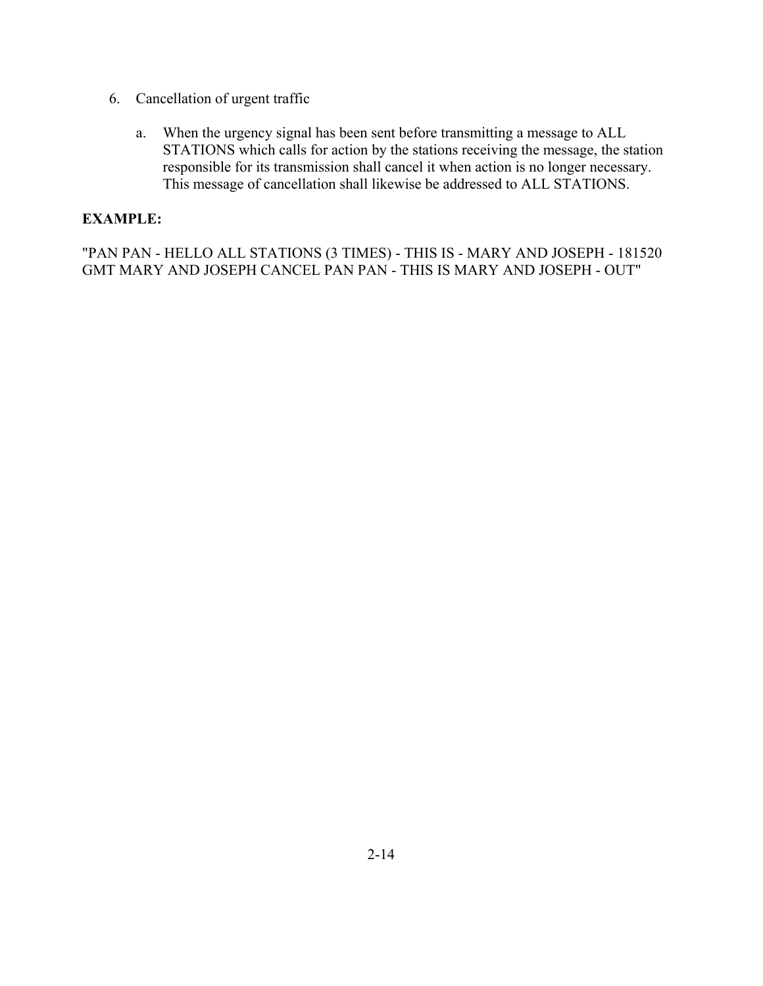- 6. Cancellation of urgent traffic
	- a. When the urgency signal has been sent before transmitting a message to ALL STATIONS which calls for action by the stations receiving the message, the station responsible for its transmission shall cancel it when action is no longer necessary. This message of cancellation shall likewise be addressed to ALL STATIONS.

"PAN PAN - HELLO ALL STATIONS (3 TIMES) - THIS IS - MARY AND JOSEPH - 181520 GMT MARY AND JOSEPH CANCEL PAN PAN - THIS IS MARY AND JOSEPH - OUT"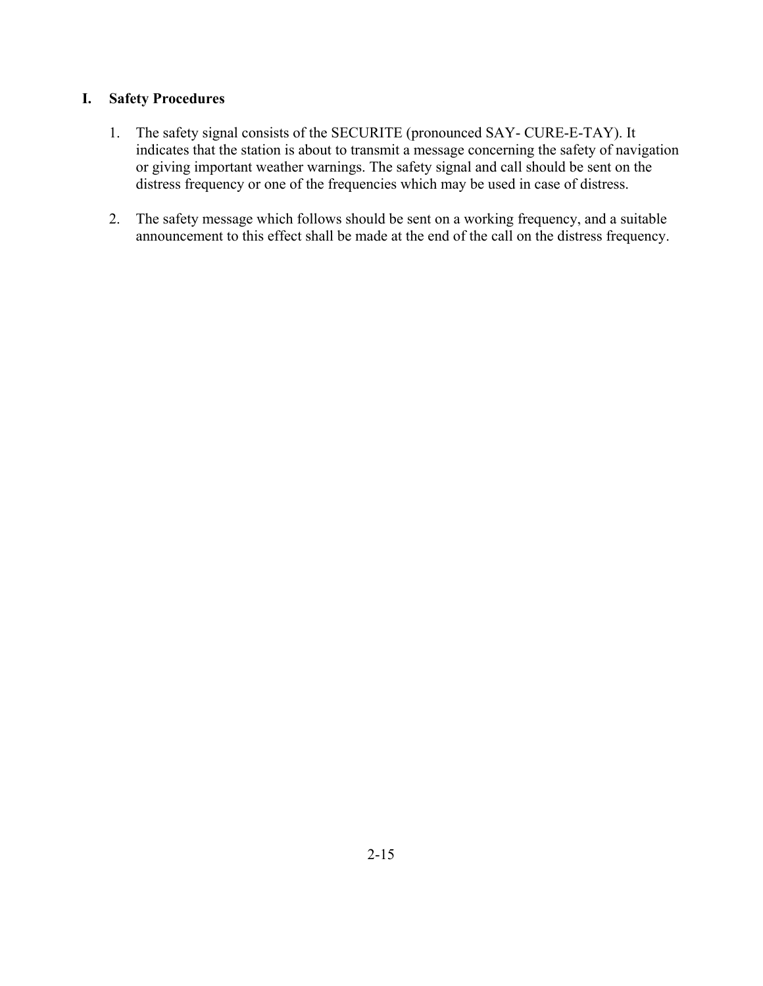### **I. Safety Procedures**

- 1. The safety signal consists of the SECURITE (pronounced SAY- CURE-E-TAY). It indicates that the station is about to transmit a message concerning the safety of navigation or giving important weather warnings. The safety signal and call should be sent on the distress frequency or one of the frequencies which may be used in case of distress.
- 2. The safety message which follows should be sent on a working frequency, and a suitable announcement to this effect shall be made at the end of the call on the distress frequency.